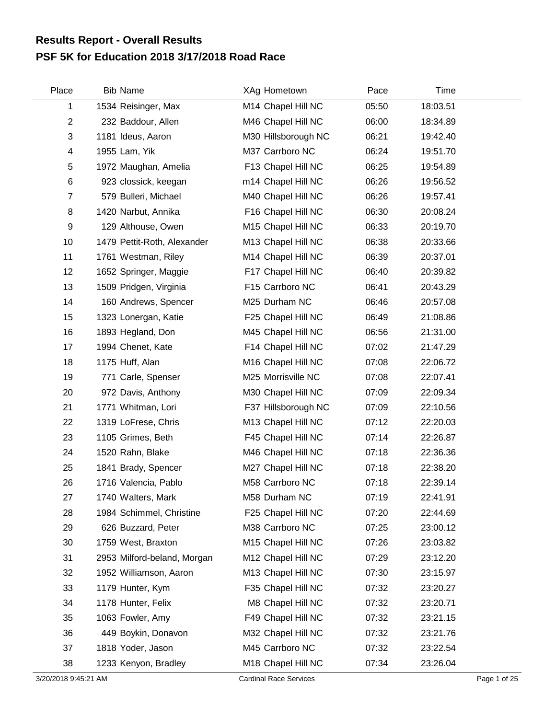## **PSF 5K for Education 2018 3/17/2018 Road Race Results Report - Overall Results**

| Place          | <b>Bib Name</b>             | XAg Hometown        | Pace  | Time     |  |
|----------------|-----------------------------|---------------------|-------|----------|--|
| 1              | 1534 Reisinger, Max         | M14 Chapel Hill NC  | 05:50 | 18:03.51 |  |
| $\overline{2}$ | 232 Baddour, Allen          | M46 Chapel Hill NC  | 06:00 | 18:34.89 |  |
| 3              | 1181 Ideus, Aaron           | M30 Hillsborough NC | 06:21 | 19:42.40 |  |
| 4              | 1955 Lam, Yik               | M37 Carrboro NC     | 06:24 | 19:51.70 |  |
| 5              | 1972 Maughan, Amelia        | F13 Chapel Hill NC  | 06:25 | 19:54.89 |  |
| 6              | 923 clossick, keegan        | m14 Chapel Hill NC  | 06:26 | 19:56.52 |  |
| $\overline{7}$ | 579 Bulleri, Michael        | M40 Chapel Hill NC  | 06:26 | 19:57.41 |  |
| 8              | 1420 Narbut, Annika         | F16 Chapel Hill NC  | 06:30 | 20:08.24 |  |
| 9              | 129 Althouse, Owen          | M15 Chapel Hill NC  | 06:33 | 20:19.70 |  |
| 10             | 1479 Pettit-Roth, Alexander | M13 Chapel Hill NC  | 06:38 | 20:33.66 |  |
| 11             | 1761 Westman, Riley         | M14 Chapel Hill NC  | 06:39 | 20:37.01 |  |
| 12             | 1652 Springer, Maggie       | F17 Chapel Hill NC  | 06:40 | 20:39.82 |  |
| 13             | 1509 Pridgen, Virginia      | F15 Carrboro NC     | 06:41 | 20:43.29 |  |
| 14             | 160 Andrews, Spencer        | M25 Durham NC       | 06:46 | 20:57.08 |  |
| 15             | 1323 Lonergan, Katie        | F25 Chapel Hill NC  | 06:49 | 21:08.86 |  |
| 16             | 1893 Hegland, Don           | M45 Chapel Hill NC  | 06:56 | 21:31.00 |  |
| 17             | 1994 Chenet, Kate           | F14 Chapel Hill NC  | 07:02 | 21:47.29 |  |
| 18             | 1175 Huff, Alan             | M16 Chapel Hill NC  | 07:08 | 22:06.72 |  |
| 19             | 771 Carle, Spenser          | M25 Morrisville NC  | 07:08 | 22:07.41 |  |
| 20             | 972 Davis, Anthony          | M30 Chapel Hill NC  | 07:09 | 22:09.34 |  |
| 21             | 1771 Whitman, Lori          | F37 Hillsborough NC | 07:09 | 22:10.56 |  |
| 22             | 1319 LoFrese, Chris         | M13 Chapel Hill NC  | 07:12 | 22:20.03 |  |
| 23             | 1105 Grimes, Beth           | F45 Chapel Hill NC  | 07:14 | 22:26.87 |  |
| 24             | 1520 Rahn, Blake            | M46 Chapel Hill NC  | 07:18 | 22:36.36 |  |
| 25             | 1841 Brady, Spencer         | M27 Chapel Hill NC  | 07:18 | 22:38.20 |  |
| 26             | 1716 Valencia, Pablo        | M58 Carrboro NC     | 07:18 | 22:39.14 |  |
| 27             | 1740 Walters, Mark          | M58 Durham NC       | 07:19 | 22:41.91 |  |
| 28             | 1984 Schimmel, Christine    | F25 Chapel Hill NC  | 07:20 | 22:44.69 |  |
| 29             | 626 Buzzard, Peter          | M38 Carrboro NC     | 07:25 | 23:00.12 |  |
| 30             | 1759 West, Braxton          | M15 Chapel Hill NC  | 07:26 | 23:03.82 |  |
| 31             | 2953 Milford-beland, Morgan | M12 Chapel Hill NC  | 07:29 | 23:12.20 |  |
| 32             | 1952 Williamson, Aaron      | M13 Chapel Hill NC  | 07:30 | 23:15.97 |  |
| 33             | 1179 Hunter, Kym            | F35 Chapel Hill NC  | 07:32 | 23:20.27 |  |
| 34             | 1178 Hunter, Felix          | M8 Chapel Hill NC   | 07:32 | 23:20.71 |  |
| 35             | 1063 Fowler, Amy            | F49 Chapel Hill NC  | 07:32 | 23:21.15 |  |
| 36             | 449 Boykin, Donavon         | M32 Chapel Hill NC  | 07:32 | 23:21.76 |  |
| 37             | 1818 Yoder, Jason           | M45 Carrboro NC     | 07:32 | 23:22.54 |  |
| 38             | 1233 Kenyon, Bradley        | M18 Chapel Hill NC  | 07:34 | 23:26.04 |  |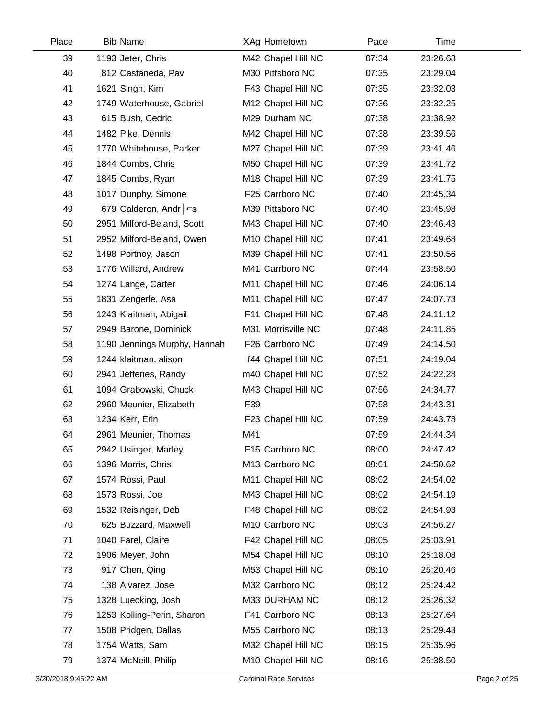| Place | <b>Bib Name</b>              | XAg Hometown       | Pace  | Time     |  |
|-------|------------------------------|--------------------|-------|----------|--|
| 39    | 1193 Jeter, Chris            | M42 Chapel Hill NC | 07:34 | 23:26.68 |  |
| 40    | 812 Castaneda, Pav           | M30 Pittsboro NC   | 07:35 | 23:29.04 |  |
| 41    | 1621 Singh, Kim              | F43 Chapel Hill NC | 07:35 | 23:32.03 |  |
| 42    | 1749 Waterhouse, Gabriel     | M12 Chapel Hill NC | 07:36 | 23:32.25 |  |
| 43    | 615 Bush, Cedric             | M29 Durham NC      | 07:38 | 23:38.92 |  |
| 44    | 1482 Pike, Dennis            | M42 Chapel Hill NC | 07:38 | 23:39.56 |  |
| 45    | 1770 Whitehouse, Parker      | M27 Chapel Hill NC | 07:39 | 23:41.46 |  |
| 46    | 1844 Combs, Chris            | M50 Chapel Hill NC | 07:39 | 23:41.72 |  |
| 47    | 1845 Combs, Ryan             | M18 Chapel Hill NC | 07:39 | 23:41.75 |  |
| 48    | 1017 Dunphy, Simone          | F25 Carrboro NC    | 07:40 | 23:45.34 |  |
| 49    | 679 Calderon, Andr Frs       | M39 Pittsboro NC   | 07:40 | 23:45.98 |  |
| 50    | 2951 Milford-Beland, Scott   | M43 Chapel Hill NC | 07:40 | 23:46.43 |  |
| 51    | 2952 Milford-Beland, Owen    | M10 Chapel Hill NC | 07:41 | 23:49.68 |  |
| 52    | 1498 Portnoy, Jason          | M39 Chapel Hill NC | 07:41 | 23:50.56 |  |
| 53    | 1776 Willard, Andrew         | M41 Carrboro NC    | 07:44 | 23:58.50 |  |
| 54    | 1274 Lange, Carter           | M11 Chapel Hill NC | 07:46 | 24:06.14 |  |
| 55    | 1831 Zengerle, Asa           | M11 Chapel Hill NC | 07:47 | 24:07.73 |  |
| 56    | 1243 Klaitman, Abigail       | F11 Chapel Hill NC | 07:48 | 24:11.12 |  |
| 57    | 2949 Barone, Dominick        | M31 Morrisville NC | 07:48 | 24:11.85 |  |
| 58    | 1190 Jennings Murphy, Hannah | F26 Carrboro NC    | 07:49 | 24:14.50 |  |
| 59    | 1244 klaitman, alison        | f44 Chapel Hill NC | 07:51 | 24:19.04 |  |
| 60    | 2941 Jefferies, Randy        | m40 Chapel Hill NC | 07:52 | 24:22.28 |  |
| 61    | 1094 Grabowski, Chuck        | M43 Chapel Hill NC | 07:56 | 24:34.77 |  |
| 62    | 2960 Meunier, Elizabeth      | F39                | 07:58 | 24:43.31 |  |
| 63    | 1234 Kerr, Erin              | F23 Chapel Hill NC | 07:59 | 24:43.78 |  |
| 64    | 2961 Meunier, Thomas         | M41                | 07:59 | 24:44.34 |  |
| 65    | 2942 Usinger, Marley         | F15 Carrboro NC    | 08:00 | 24:47.42 |  |
| 66    | 1396 Morris, Chris           | M13 Carrboro NC    | 08:01 | 24:50.62 |  |
| 67    | 1574 Rossi, Paul             | M11 Chapel Hill NC | 08:02 | 24:54.02 |  |
| 68    | 1573 Rossi, Joe              | M43 Chapel Hill NC | 08:02 | 24:54.19 |  |
| 69    | 1532 Reisinger, Deb          | F48 Chapel Hill NC | 08:02 | 24:54.93 |  |
| 70    | 625 Buzzard, Maxwell         | M10 Carrboro NC    | 08:03 | 24:56.27 |  |
| 71    | 1040 Farel, Claire           | F42 Chapel Hill NC | 08:05 | 25:03.91 |  |
| 72    | 1906 Meyer, John             | M54 Chapel Hill NC | 08:10 | 25:18.08 |  |
| 73    | 917 Chen, Qing               | M53 Chapel Hill NC | 08:10 | 25:20.46 |  |
| 74    | 138 Alvarez, Jose            | M32 Carrboro NC    | 08:12 | 25:24.42 |  |
| 75    | 1328 Luecking, Josh          | M33 DURHAM NC      | 08:12 | 25:26.32 |  |
| 76    | 1253 Kolling-Perin, Sharon   | F41 Carrboro NC    | 08:13 | 25:27.64 |  |
| 77    | 1508 Pridgen, Dallas         | M55 Carrboro NC    | 08:13 | 25:29.43 |  |
| 78    | 1754 Watts, Sam              | M32 Chapel Hill NC | 08:15 | 25:35.96 |  |
| 79    | 1374 McNeill, Philip         | M10 Chapel Hill NC | 08:16 | 25:38.50 |  |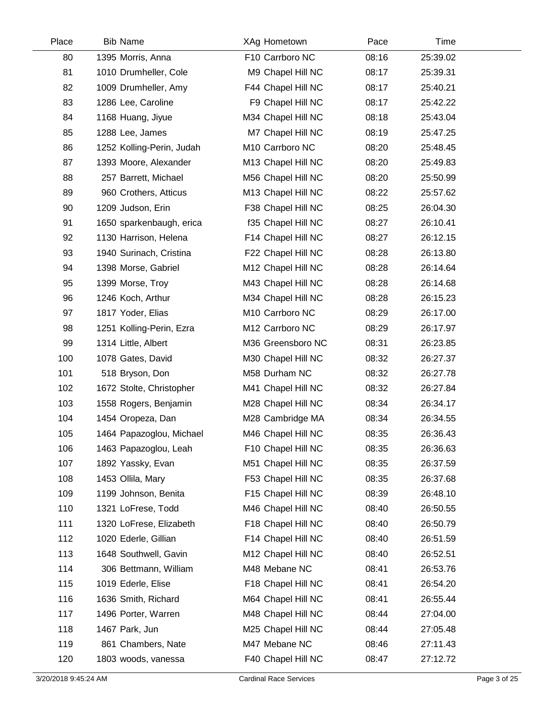| Place | <b>Bib Name</b>           | XAg Hometown       | Pace  | Time     |  |
|-------|---------------------------|--------------------|-------|----------|--|
| 80    | 1395 Morris, Anna         | F10 Carrboro NC    | 08:16 | 25:39.02 |  |
| 81    | 1010 Drumheller, Cole     | M9 Chapel Hill NC  | 08:17 | 25:39.31 |  |
| 82    | 1009 Drumheller, Amy      | F44 Chapel Hill NC | 08:17 | 25:40.21 |  |
| 83    | 1286 Lee, Caroline        | F9 Chapel Hill NC  | 08:17 | 25:42.22 |  |
| 84    | 1168 Huang, Jiyue         | M34 Chapel Hill NC | 08:18 | 25:43.04 |  |
| 85    | 1288 Lee, James           | M7 Chapel Hill NC  | 08:19 | 25:47.25 |  |
| 86    | 1252 Kolling-Perin, Judah | M10 Carrboro NC    | 08:20 | 25:48.45 |  |
| 87    | 1393 Moore, Alexander     | M13 Chapel Hill NC | 08:20 | 25:49.83 |  |
| 88    | 257 Barrett, Michael      | M56 Chapel Hill NC | 08:20 | 25:50.99 |  |
| 89    | 960 Crothers, Atticus     | M13 Chapel Hill NC | 08:22 | 25:57.62 |  |
| 90    | 1209 Judson, Erin         | F38 Chapel Hill NC | 08:25 | 26:04.30 |  |
| 91    | 1650 sparkenbaugh, erica  | f35 Chapel Hill NC | 08:27 | 26:10.41 |  |
| 92    | 1130 Harrison, Helena     | F14 Chapel Hill NC | 08:27 | 26:12.15 |  |
| 93    | 1940 Surinach, Cristina   | F22 Chapel Hill NC | 08:28 | 26:13.80 |  |
| 94    | 1398 Morse, Gabriel       | M12 Chapel Hill NC | 08:28 | 26:14.64 |  |
| 95    | 1399 Morse, Troy          | M43 Chapel Hill NC | 08:28 | 26:14.68 |  |
| 96    | 1246 Koch, Arthur         | M34 Chapel Hill NC | 08:28 | 26:15.23 |  |
| 97    | 1817 Yoder, Elias         | M10 Carrboro NC    | 08:29 | 26:17.00 |  |
| 98    | 1251 Kolling-Perin, Ezra  | M12 Carrboro NC    | 08:29 | 26:17.97 |  |
| 99    | 1314 Little, Albert       | M36 Greensboro NC  | 08:31 | 26:23.85 |  |
| 100   | 1078 Gates, David         | M30 Chapel Hill NC | 08:32 | 26:27.37 |  |
| 101   | 518 Bryson, Don           | M58 Durham NC      | 08:32 | 26:27.78 |  |
| 102   | 1672 Stolte, Christopher  | M41 Chapel Hill NC | 08:32 | 26:27.84 |  |
| 103   | 1558 Rogers, Benjamin     | M28 Chapel Hill NC | 08:34 | 26:34.17 |  |
| 104   | 1454 Oropeza, Dan         | M28 Cambridge MA   | 08:34 | 26:34.55 |  |
| 105   | 1464 Papazoglou, Michael  | M46 Chapel Hill NC | 08:35 | 26:36.43 |  |
| 106   | 1463 Papazoglou, Leah     | F10 Chapel Hill NC | 08:35 | 26:36.63 |  |
| 107   | 1892 Yassky, Evan         | M51 Chapel Hill NC | 08:35 | 26:37.59 |  |
| 108   | 1453 Ollila, Mary         | F53 Chapel Hill NC | 08:35 | 26:37.68 |  |
| 109   | 1199 Johnson, Benita      | F15 Chapel Hill NC | 08:39 | 26:48.10 |  |
| 110   | 1321 LoFrese, Todd        | M46 Chapel Hill NC | 08:40 | 26:50.55 |  |
| 111   | 1320 LoFrese, Elizabeth   | F18 Chapel Hill NC | 08:40 | 26:50.79 |  |
| 112   | 1020 Ederle, Gillian      | F14 Chapel Hill NC | 08:40 | 26:51.59 |  |
| 113   | 1648 Southwell, Gavin     | M12 Chapel Hill NC | 08:40 | 26:52.51 |  |
| 114   | 306 Bettmann, William     | M48 Mebane NC      | 08:41 | 26:53.76 |  |
| 115   | 1019 Ederle, Elise        | F18 Chapel Hill NC | 08:41 | 26:54.20 |  |
| 116   | 1636 Smith, Richard       | M64 Chapel Hill NC | 08:41 | 26:55.44 |  |
| 117   | 1496 Porter, Warren       | M48 Chapel Hill NC | 08:44 | 27:04.00 |  |
| 118   | 1467 Park, Jun            | M25 Chapel Hill NC | 08:44 | 27:05.48 |  |
| 119   | 861 Chambers, Nate        | M47 Mebane NC      | 08:46 | 27:11.43 |  |
| 120   | 1803 woods, vanessa       | F40 Chapel Hill NC | 08:47 | 27:12.72 |  |
|       |                           |                    |       |          |  |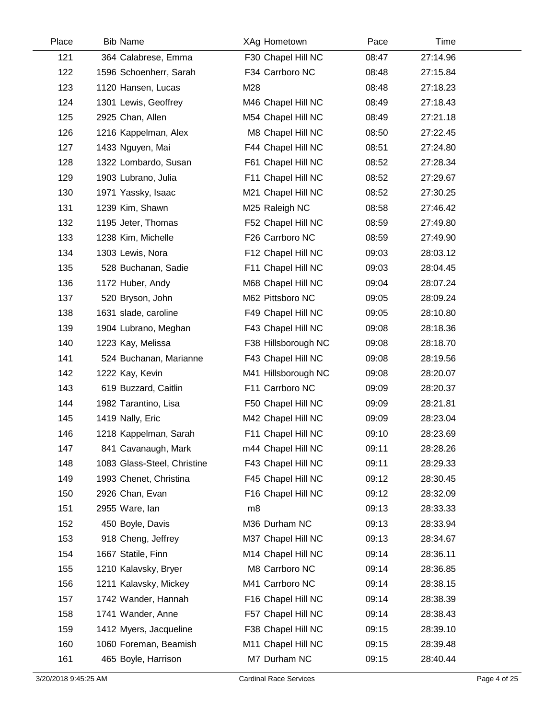| Place | <b>Bib Name</b>             | XAg Hometown        | Pace  | Time     |  |
|-------|-----------------------------|---------------------|-------|----------|--|
| 121   | 364 Calabrese, Emma         | F30 Chapel Hill NC  | 08:47 | 27:14.96 |  |
| 122   | 1596 Schoenherr, Sarah      | F34 Carrboro NC     | 08:48 | 27:15.84 |  |
| 123   | 1120 Hansen, Lucas          | M28                 | 08:48 | 27:18.23 |  |
| 124   | 1301 Lewis, Geoffrey        | M46 Chapel Hill NC  | 08:49 | 27:18.43 |  |
| 125   | 2925 Chan, Allen            | M54 Chapel Hill NC  | 08:49 | 27:21.18 |  |
| 126   | 1216 Kappelman, Alex        | M8 Chapel Hill NC   | 08:50 | 27:22.45 |  |
| 127   | 1433 Nguyen, Mai            | F44 Chapel Hill NC  | 08:51 | 27:24.80 |  |
| 128   | 1322 Lombardo, Susan        | F61 Chapel Hill NC  | 08:52 | 27:28.34 |  |
| 129   | 1903 Lubrano, Julia         | F11 Chapel Hill NC  | 08:52 | 27:29.67 |  |
| 130   | 1971 Yassky, Isaac          | M21 Chapel Hill NC  | 08:52 | 27:30.25 |  |
| 131   | 1239 Kim, Shawn             | M25 Raleigh NC      | 08:58 | 27:46.42 |  |
| 132   | 1195 Jeter, Thomas          | F52 Chapel Hill NC  | 08:59 | 27:49.80 |  |
| 133   | 1238 Kim, Michelle          | F26 Carrboro NC     | 08:59 | 27:49.90 |  |
| 134   | 1303 Lewis, Nora            | F12 Chapel Hill NC  | 09:03 | 28:03.12 |  |
| 135   | 528 Buchanan, Sadie         | F11 Chapel Hill NC  | 09:03 | 28:04.45 |  |
| 136   | 1172 Huber, Andy            | M68 Chapel Hill NC  | 09:04 | 28:07.24 |  |
| 137   | 520 Bryson, John            | M62 Pittsboro NC    | 09:05 | 28:09.24 |  |
| 138   | 1631 slade, caroline        | F49 Chapel Hill NC  | 09:05 | 28:10.80 |  |
| 139   | 1904 Lubrano, Meghan        | F43 Chapel Hill NC  | 09:08 | 28:18.36 |  |
| 140   | 1223 Kay, Melissa           | F38 Hillsborough NC | 09:08 | 28:18.70 |  |
| 141   | 524 Buchanan, Marianne      | F43 Chapel Hill NC  | 09:08 | 28:19.56 |  |
| 142   | 1222 Kay, Kevin             | M41 Hillsborough NC | 09:08 | 28:20.07 |  |
| 143   | 619 Buzzard, Caitlin        | F11 Carrboro NC     | 09:09 | 28:20.37 |  |
| 144   | 1982 Tarantino, Lisa        | F50 Chapel Hill NC  | 09:09 | 28:21.81 |  |
| 145   | 1419 Nally, Eric            | M42 Chapel Hill NC  | 09:09 | 28:23.04 |  |
| 146   | 1218 Kappelman, Sarah       | F11 Chapel Hill NC  | 09:10 | 28:23.69 |  |
| 147   | 841 Cavanaugh, Mark         | m44 Chapel Hill NC  | 09:11 | 28:28.26 |  |
| 148   | 1083 Glass-Steel, Christine | F43 Chapel Hill NC  | 09:11 | 28:29.33 |  |
| 149   | 1993 Chenet, Christina      | F45 Chapel Hill NC  | 09:12 | 28:30.45 |  |
| 150   | 2926 Chan, Evan             | F16 Chapel Hill NC  | 09:12 | 28:32.09 |  |
| 151   | 2955 Ware, lan              | m8                  | 09:13 | 28:33.33 |  |
| 152   | 450 Boyle, Davis            | M36 Durham NC       | 09:13 | 28:33.94 |  |
| 153   | 918 Cheng, Jeffrey          | M37 Chapel Hill NC  | 09:13 | 28:34.67 |  |
| 154   | 1667 Statile, Finn          | M14 Chapel Hill NC  | 09:14 | 28:36.11 |  |
| 155   | 1210 Kalavsky, Bryer        | M8 Carrboro NC      | 09:14 | 28:36.85 |  |
| 156   | 1211 Kalavsky, Mickey       | M41 Carrboro NC     | 09:14 | 28:38.15 |  |
| 157   | 1742 Wander, Hannah         | F16 Chapel Hill NC  | 09:14 | 28:38.39 |  |
| 158   | 1741 Wander, Anne           | F57 Chapel Hill NC  | 09:14 | 28:38.43 |  |
| 159   | 1412 Myers, Jacqueline      | F38 Chapel Hill NC  | 09:15 | 28:39.10 |  |
| 160   | 1060 Foreman, Beamish       | M11 Chapel Hill NC  | 09:15 | 28:39.48 |  |
| 161   | 465 Boyle, Harrison         | M7 Durham NC        | 09:15 | 28:40.44 |  |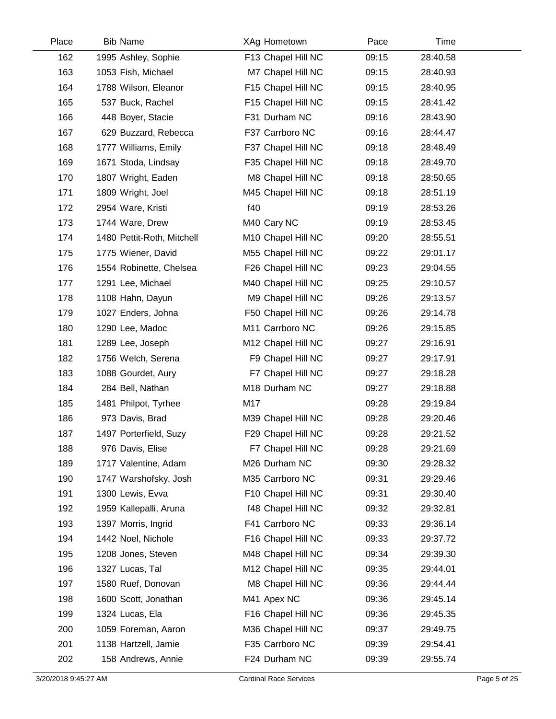| Place | <b>Bib Name</b>            | XAg Hometown       | Pace  | Time     |  |
|-------|----------------------------|--------------------|-------|----------|--|
| 162   | 1995 Ashley, Sophie        | F13 Chapel Hill NC | 09:15 | 28:40.58 |  |
| 163   | 1053 Fish, Michael         | M7 Chapel Hill NC  | 09:15 | 28:40.93 |  |
| 164   | 1788 Wilson, Eleanor       | F15 Chapel Hill NC | 09:15 | 28:40.95 |  |
| 165   | 537 Buck, Rachel           | F15 Chapel Hill NC | 09:15 | 28:41.42 |  |
| 166   | 448 Boyer, Stacie          | F31 Durham NC      | 09:16 | 28:43.90 |  |
| 167   | 629 Buzzard, Rebecca       | F37 Carrboro NC    | 09:16 | 28:44.47 |  |
| 168   | 1777 Williams, Emily       | F37 Chapel Hill NC | 09:18 | 28:48.49 |  |
| 169   | 1671 Stoda, Lindsay        | F35 Chapel Hill NC | 09:18 | 28:49.70 |  |
| 170   | 1807 Wright, Eaden         | M8 Chapel Hill NC  | 09:18 | 28:50.65 |  |
| 171   | 1809 Wright, Joel          | M45 Chapel Hill NC | 09:18 | 28:51.19 |  |
| 172   | 2954 Ware, Kristi          | f40                | 09:19 | 28:53.26 |  |
| 173   | 1744 Ware, Drew            | M40 Cary NC        | 09:19 | 28:53.45 |  |
| 174   | 1480 Pettit-Roth, Mitchell | M10 Chapel Hill NC | 09:20 | 28:55.51 |  |
| 175   | 1775 Wiener, David         | M55 Chapel Hill NC | 09:22 | 29:01.17 |  |
| 176   | 1554 Robinette, Chelsea    | F26 Chapel Hill NC | 09:23 | 29:04.55 |  |
| 177   | 1291 Lee, Michael          | M40 Chapel Hill NC | 09:25 | 29:10.57 |  |
| 178   | 1108 Hahn, Dayun           | M9 Chapel Hill NC  | 09:26 | 29:13.57 |  |
| 179   | 1027 Enders, Johna         | F50 Chapel Hill NC | 09:26 | 29:14.78 |  |
| 180   | 1290 Lee, Madoc            | M11 Carrboro NC    | 09:26 | 29:15.85 |  |
| 181   | 1289 Lee, Joseph           | M12 Chapel Hill NC | 09:27 | 29:16.91 |  |
| 182   | 1756 Welch, Serena         | F9 Chapel Hill NC  | 09:27 | 29:17.91 |  |
| 183   | 1088 Gourdet, Aury         | F7 Chapel Hill NC  | 09:27 | 29:18.28 |  |
| 184   | 284 Bell, Nathan           | M18 Durham NC      | 09:27 | 29:18.88 |  |
| 185   | 1481 Philpot, Tyrhee       | M17                | 09:28 | 29:19.84 |  |
| 186   | 973 Davis, Brad            | M39 Chapel Hill NC | 09:28 | 29:20.46 |  |
| 187   | 1497 Porterfield, Suzy     | F29 Chapel Hill NC | 09:28 | 29:21.52 |  |
| 188   | 976 Davis, Elise           | F7 Chapel Hill NC  | 09:28 | 29:21.69 |  |
| 189   | 1717 Valentine, Adam       | M26 Durham NC      | 09:30 | 29:28.32 |  |
| 190   | 1747 Warshofsky, Josh      | M35 Carrboro NC    | 09:31 | 29:29.46 |  |
| 191   | 1300 Lewis, Evva           | F10 Chapel Hill NC | 09:31 | 29:30.40 |  |
| 192   | 1959 Kallepalli, Aruna     | f48 Chapel Hill NC | 09:32 | 29:32.81 |  |
| 193   | 1397 Morris, Ingrid        | F41 Carrboro NC    | 09:33 | 29:36.14 |  |
| 194   | 1442 Noel, Nichole         | F16 Chapel Hill NC | 09:33 | 29:37.72 |  |
| 195   | 1208 Jones, Steven         | M48 Chapel Hill NC | 09:34 | 29:39.30 |  |
| 196   | 1327 Lucas, Tal            | M12 Chapel Hill NC | 09:35 | 29:44.01 |  |
| 197   | 1580 Ruef, Donovan         | M8 Chapel Hill NC  | 09:36 | 29:44.44 |  |
| 198   | 1600 Scott, Jonathan       | M41 Apex NC        | 09:36 | 29:45.14 |  |
| 199   | 1324 Lucas, Ela            | F16 Chapel Hill NC | 09:36 | 29:45.35 |  |
| 200   | 1059 Foreman, Aaron        | M36 Chapel Hill NC | 09:37 | 29:49.75 |  |
| 201   | 1138 Hartzell, Jamie       | F35 Carrboro NC    | 09:39 | 29:54.41 |  |
| 202   | 158 Andrews, Annie         | F24 Durham NC      | 09:39 | 29:55.74 |  |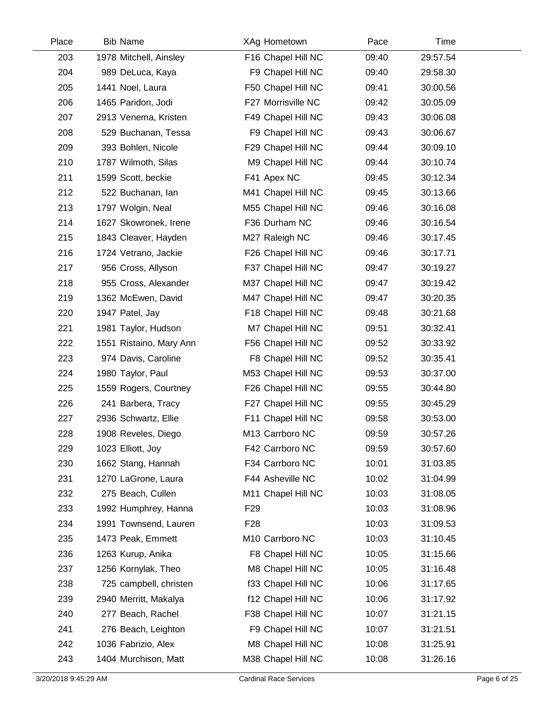| Place | <b>Bib Name</b>         | XAg Hometown       | Pace  | Time     |  |
|-------|-------------------------|--------------------|-------|----------|--|
| 203   | 1978 Mitchell, Ainsley  | F16 Chapel Hill NC | 09:40 | 29:57.54 |  |
| 204   | 989 DeLuca, Kaya        | F9 Chapel Hill NC  | 09:40 | 29:58.30 |  |
| 205   | 1441 Noel, Laura        | F50 Chapel Hill NC | 09:41 | 30:00.56 |  |
| 206   | 1465 Paridon, Jodi      | F27 Morrisville NC | 09:42 | 30:05.09 |  |
| 207   | 2913 Venema, Kristen    | F49 Chapel Hill NC | 09:43 | 30:06.08 |  |
| 208   | 529 Buchanan, Tessa     | F9 Chapel Hill NC  | 09:43 | 30:06.67 |  |
| 209   | 393 Bohlen, Nicole      | F29 Chapel Hill NC | 09:44 | 30:09.10 |  |
| 210   | 1787 Wilmoth, Silas     | M9 Chapel Hill NC  | 09:44 | 30:10.74 |  |
| 211   | 1599 Scott, beckie      | F41 Apex NC        | 09:45 | 30:12.34 |  |
| 212   | 522 Buchanan, lan       | M41 Chapel Hill NC | 09:45 | 30:13.66 |  |
| 213   | 1797 Wolgin, Neal       | M55 Chapel Hill NC | 09:46 | 30:16.08 |  |
| 214   | 1627 Skowronek, Irene   | F36 Durham NC      | 09:46 | 30:16.54 |  |
| 215   | 1843 Cleaver, Hayden    | M27 Raleigh NC     | 09:46 | 30:17.45 |  |
| 216   | 1724 Vetrano, Jackie    | F26 Chapel Hill NC | 09:46 | 30:17.71 |  |
| 217   | 956 Cross, Allyson      | F37 Chapel Hill NC | 09:47 | 30:19.27 |  |
| 218   | 955 Cross, Alexander    | M37 Chapel Hill NC | 09:47 | 30:19.42 |  |
| 219   | 1362 McEwen, David      | M47 Chapel Hill NC | 09:47 | 30:20.35 |  |
| 220   | 1947 Patel, Jay         | F18 Chapel Hill NC | 09:48 | 30:21.68 |  |
| 221   | 1981 Taylor, Hudson     | M7 Chapel Hill NC  | 09:51 | 30:32.41 |  |
| 222   | 1551 Ristaino, Mary Ann | F56 Chapel Hill NC | 09:52 | 30:33.92 |  |
| 223   | 974 Davis, Caroline     | F8 Chapel Hill NC  | 09:52 | 30:35.41 |  |
| 224   | 1980 Taylor, Paul       | M53 Chapel Hill NC | 09:53 | 30:37.00 |  |
| 225   | 1559 Rogers, Courtney   | F26 Chapel Hill NC | 09:55 | 30:44.80 |  |
| 226   | 241 Barbera, Tracy      | F27 Chapel Hill NC | 09:55 | 30:45.29 |  |
| 227   | 2936 Schwartz, Ellie    | F11 Chapel Hill NC | 09:58 | 30:53.00 |  |
| 228   | 1908 Reveles, Diego     | M13 Carrboro NC    | 09:59 | 30:57.26 |  |
| 229   | 1023 Elliott, Joy       | F42 Carrboro NC    | 09:59 | 30:57.60 |  |
| 230   | 1662 Stang, Hannah      | F34 Carrboro NC    | 10:01 | 31:03.85 |  |
| 231   | 1270 LaGrone, Laura     | F44 Asheville NC   | 10:02 | 31:04.99 |  |
| 232   | 275 Beach, Cullen       | M11 Chapel Hill NC | 10:03 | 31:08.05 |  |
| 233   | 1992 Humphrey, Hanna    | F <sub>29</sub>    | 10:03 | 31:08.96 |  |
| 234   | 1991 Townsend, Lauren   | F <sub>28</sub>    | 10:03 | 31:09.53 |  |
| 235   | 1473 Peak, Emmett       | M10 Carrboro NC    | 10:03 | 31:10.45 |  |
| 236   | 1263 Kurup, Anika       | F8 Chapel Hill NC  | 10:05 | 31:15.66 |  |
| 237   | 1256 Kornylak, Theo     | M8 Chapel Hill NC  | 10:05 | 31:16.48 |  |
| 238   | 725 campbell, christen  | f33 Chapel Hill NC | 10:06 | 31:17.65 |  |
| 239   | 2940 Merritt, Makalya   | f12 Chapel Hill NC | 10:06 | 31:17.92 |  |
| 240   | 277 Beach, Rachel       | F38 Chapel Hill NC | 10:07 | 31:21.15 |  |
| 241   | 276 Beach, Leighton     | F9 Chapel Hill NC  | 10:07 | 31:21.51 |  |
| 242   | 1036 Fabrizio, Alex     | M8 Chapel Hill NC  | 10:08 | 31:25.91 |  |
| 243   | 1404 Murchison, Matt    | M38 Chapel Hill NC | 10:08 | 31:26.16 |  |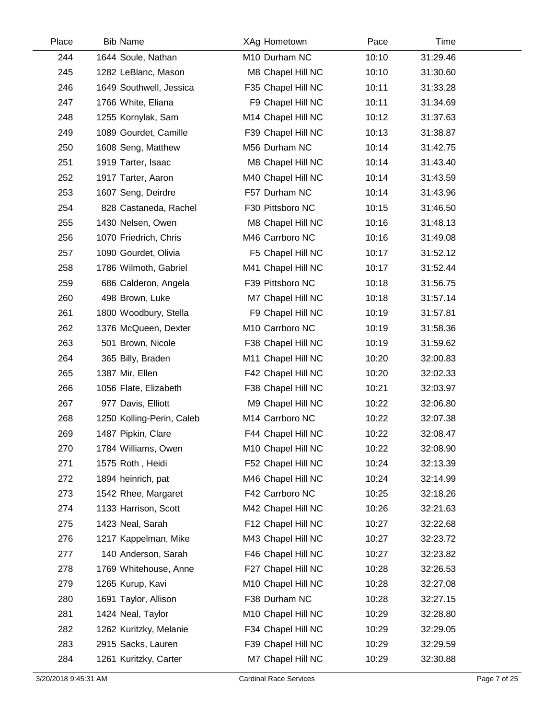| Place | <b>Bib Name</b>           | XAg Hometown       | Pace  | Time     |  |
|-------|---------------------------|--------------------|-------|----------|--|
| 244   | 1644 Soule, Nathan        | M10 Durham NC      | 10:10 | 31:29.46 |  |
| 245   | 1282 LeBlanc, Mason       | M8 Chapel Hill NC  | 10:10 | 31:30.60 |  |
| 246   | 1649 Southwell, Jessica   | F35 Chapel Hill NC | 10:11 | 31:33.28 |  |
| 247   | 1766 White, Eliana        | F9 Chapel Hill NC  | 10:11 | 31:34.69 |  |
| 248   | 1255 Kornylak, Sam        | M14 Chapel Hill NC | 10:12 | 31:37.63 |  |
| 249   | 1089 Gourdet, Camille     | F39 Chapel Hill NC | 10:13 | 31:38.87 |  |
| 250   | 1608 Seng, Matthew        | M56 Durham NC      | 10:14 | 31:42.75 |  |
| 251   | 1919 Tarter, Isaac        | M8 Chapel Hill NC  | 10:14 | 31:43.40 |  |
| 252   | 1917 Tarter, Aaron        | M40 Chapel Hill NC | 10:14 | 31:43.59 |  |
| 253   | 1607 Seng, Deirdre        | F57 Durham NC      | 10:14 | 31:43.96 |  |
| 254   | 828 Castaneda, Rachel     | F30 Pittsboro NC   | 10:15 | 31:46.50 |  |
| 255   | 1430 Nelsen, Owen         | M8 Chapel Hill NC  | 10:16 | 31:48.13 |  |
| 256   | 1070 Friedrich, Chris     | M46 Carrboro NC    | 10:16 | 31:49.08 |  |
| 257   | 1090 Gourdet, Olivia      | F5 Chapel Hill NC  | 10:17 | 31:52.12 |  |
| 258   | 1786 Wilmoth, Gabriel     | M41 Chapel Hill NC | 10:17 | 31:52.44 |  |
| 259   | 686 Calderon, Angela      | F39 Pittsboro NC   | 10:18 | 31:56.75 |  |
| 260   | 498 Brown, Luke           | M7 Chapel Hill NC  | 10:18 | 31:57.14 |  |
| 261   | 1800 Woodbury, Stella     | F9 Chapel Hill NC  | 10:19 | 31:57.81 |  |
| 262   | 1376 McQueen, Dexter      | M10 Carrboro NC    | 10:19 | 31:58.36 |  |
| 263   | 501 Brown, Nicole         | F38 Chapel Hill NC | 10:19 | 31:59.62 |  |
| 264   | 365 Billy, Braden         | M11 Chapel Hill NC | 10:20 | 32:00.83 |  |
| 265   | 1387 Mir, Ellen           | F42 Chapel Hill NC | 10:20 | 32:02.33 |  |
| 266   | 1056 Flate, Elizabeth     | F38 Chapel Hill NC | 10:21 | 32:03.97 |  |
| 267   | 977 Davis, Elliott        | M9 Chapel Hill NC  | 10:22 | 32:06.80 |  |
| 268   | 1250 Kolling-Perin, Caleb | M14 Carrboro NC    | 10:22 | 32:07.38 |  |
| 269   | 1487 Pipkin, Clare        | F44 Chapel Hill NC | 10:22 | 32:08.47 |  |
| 270   | 1784 Williams, Owen       | M10 Chapel Hill NC | 10:22 | 32:08.90 |  |
| 271   | 1575 Roth, Heidi          | F52 Chapel Hill NC | 10:24 | 32:13.39 |  |
| 272   | 1894 heinrich, pat        | M46 Chapel Hill NC | 10:24 | 32:14.99 |  |
| 273   | 1542 Rhee, Margaret       | F42 Carrboro NC    | 10:25 | 32:18.26 |  |
| 274   | 1133 Harrison, Scott      | M42 Chapel Hill NC | 10:26 | 32:21.63 |  |
| 275   | 1423 Neal, Sarah          | F12 Chapel Hill NC | 10:27 | 32:22.68 |  |
| 276   | 1217 Kappelman, Mike      | M43 Chapel Hill NC | 10:27 | 32:23.72 |  |
| 277   | 140 Anderson, Sarah       | F46 Chapel Hill NC | 10:27 | 32:23.82 |  |
| 278   | 1769 Whitehouse, Anne     | F27 Chapel Hill NC | 10:28 | 32:26.53 |  |
| 279   | 1265 Kurup, Kavi          | M10 Chapel Hill NC | 10:28 | 32:27.08 |  |
| 280   | 1691 Taylor, Allison      | F38 Durham NC      | 10:28 | 32:27.15 |  |
| 281   | 1424 Neal, Taylor         | M10 Chapel Hill NC | 10:29 | 32:28.80 |  |
| 282   | 1262 Kuritzky, Melanie    | F34 Chapel Hill NC | 10:29 | 32:29.05 |  |
| 283   | 2915 Sacks, Lauren        | F39 Chapel Hill NC | 10:29 | 32:29.59 |  |
| 284   | 1261 Kuritzky, Carter     | M7 Chapel Hill NC  | 10:29 | 32:30.88 |  |
|       |                           |                    |       |          |  |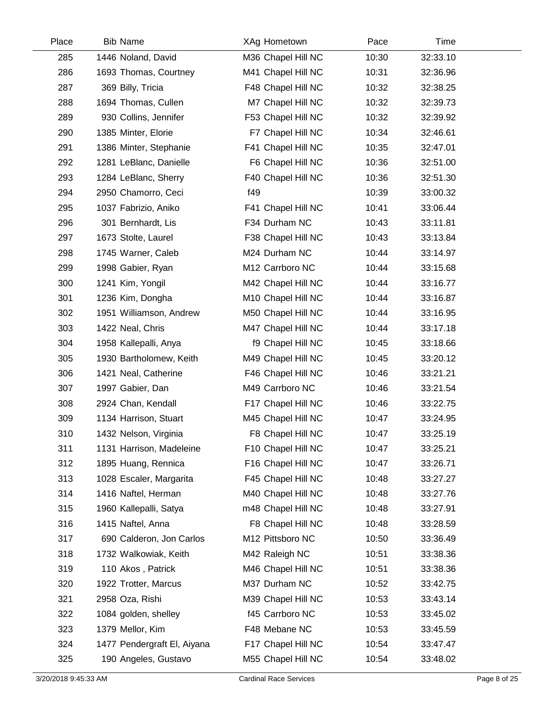| Place | <b>Bib Name</b>             | XAg Hometown       | Pace  | Time     |  |
|-------|-----------------------------|--------------------|-------|----------|--|
| 285   | 1446 Noland, David          | M36 Chapel Hill NC | 10:30 | 32:33.10 |  |
| 286   | 1693 Thomas, Courtney       | M41 Chapel Hill NC | 10:31 | 32:36.96 |  |
| 287   | 369 Billy, Tricia           | F48 Chapel Hill NC | 10:32 | 32:38.25 |  |
| 288   | 1694 Thomas, Cullen         | M7 Chapel Hill NC  | 10:32 | 32:39.73 |  |
| 289   | 930 Collins, Jennifer       | F53 Chapel Hill NC | 10:32 | 32:39.92 |  |
| 290   | 1385 Minter, Elorie         | F7 Chapel Hill NC  | 10:34 | 32:46.61 |  |
| 291   | 1386 Minter, Stephanie      | F41 Chapel Hill NC | 10:35 | 32:47.01 |  |
| 292   | 1281 LeBlanc, Danielle      | F6 Chapel Hill NC  | 10:36 | 32:51.00 |  |
| 293   | 1284 LeBlanc, Sherry        | F40 Chapel Hill NC | 10:36 | 32:51.30 |  |
| 294   | 2950 Chamorro, Ceci         | f49                | 10:39 | 33:00.32 |  |
| 295   | 1037 Fabrizio, Aniko        | F41 Chapel Hill NC | 10:41 | 33:06.44 |  |
| 296   | 301 Bernhardt, Lis          | F34 Durham NC      | 10:43 | 33:11.81 |  |
| 297   | 1673 Stolte, Laurel         | F38 Chapel Hill NC | 10:43 | 33:13.84 |  |
| 298   | 1745 Warner, Caleb          | M24 Durham NC      | 10:44 | 33:14.97 |  |
| 299   | 1998 Gabier, Ryan           | M12 Carrboro NC    | 10:44 | 33:15.68 |  |
| 300   | 1241 Kim, Yongil            | M42 Chapel Hill NC | 10:44 | 33:16.77 |  |
| 301   | 1236 Kim, Dongha            | M10 Chapel Hill NC | 10:44 | 33:16.87 |  |
| 302   | 1951 Williamson, Andrew     | M50 Chapel Hill NC | 10:44 | 33:16.95 |  |
| 303   | 1422 Neal, Chris            | M47 Chapel Hill NC | 10:44 | 33:17.18 |  |
| 304   | 1958 Kallepalli, Anya       | f9 Chapel Hill NC  | 10:45 | 33:18.66 |  |
| 305   | 1930 Bartholomew, Keith     | M49 Chapel Hill NC | 10:45 | 33:20.12 |  |
| 306   | 1421 Neal, Catherine        | F46 Chapel Hill NC | 10:46 | 33:21.21 |  |
| 307   | 1997 Gabier, Dan            | M49 Carrboro NC    | 10:46 | 33:21.54 |  |
| 308   | 2924 Chan, Kendall          | F17 Chapel Hill NC | 10:46 | 33:22.75 |  |
| 309   | 1134 Harrison, Stuart       | M45 Chapel Hill NC | 10:47 | 33:24.95 |  |
| 310   | 1432 Nelson, Virginia       | F8 Chapel Hill NC  | 10:47 | 33:25.19 |  |
| 311   | 1131 Harrison, Madeleine    | F10 Chapel Hill NC | 10:47 | 33:25.21 |  |
| 312   | 1895 Huang, Rennica         | F16 Chapel Hill NC | 10:47 | 33:26.71 |  |
| 313   | 1028 Escaler, Margarita     | F45 Chapel Hill NC | 10:48 | 33:27.27 |  |
| 314   | 1416 Naftel, Herman         | M40 Chapel Hill NC | 10:48 | 33:27.76 |  |
| 315   | 1960 Kallepalli, Satya      | m48 Chapel Hill NC | 10:48 | 33:27.91 |  |
| 316   | 1415 Naftel, Anna           | F8 Chapel Hill NC  | 10:48 | 33:28.59 |  |
| 317   | 690 Calderon, Jon Carlos    | M12 Pittsboro NC   | 10:50 | 33:36.49 |  |
| 318   | 1732 Walkowiak, Keith       | M42 Raleigh NC     | 10:51 | 33:38.36 |  |
| 319   | 110 Akos, Patrick           | M46 Chapel Hill NC | 10:51 | 33:38.36 |  |
| 320   | 1922 Trotter, Marcus        | M37 Durham NC      | 10:52 | 33:42.75 |  |
| 321   | 2958 Oza, Rishi             | M39 Chapel Hill NC | 10:53 | 33:43.14 |  |
| 322   | 1084 golden, shelley        | f45 Carrboro NC    | 10:53 | 33:45.02 |  |
| 323   | 1379 Mellor, Kim            | F48 Mebane NC      | 10:53 | 33:45.59 |  |
| 324   | 1477 Pendergraft El, Aiyana | F17 Chapel Hill NC | 10:54 | 33:47.47 |  |
| 325   | 190 Angeles, Gustavo        | M55 Chapel Hill NC | 10:54 | 33:48.02 |  |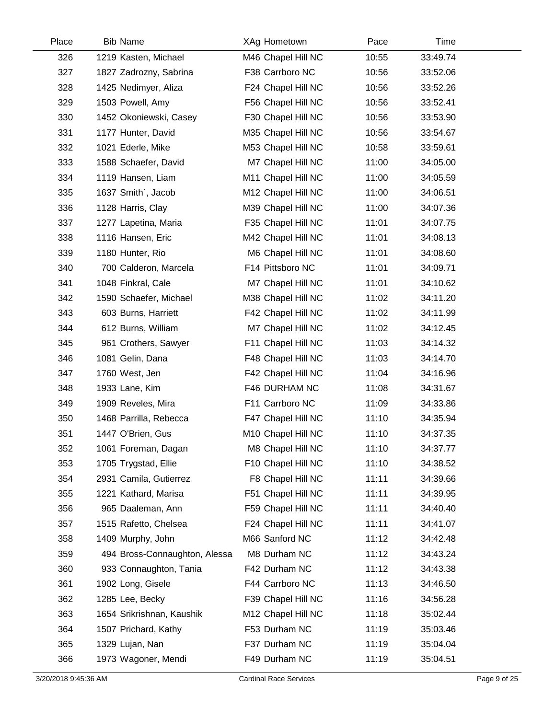| Place | <b>Bib Name</b>               | XAg Hometown       | Pace  | Time     |  |
|-------|-------------------------------|--------------------|-------|----------|--|
| 326   | 1219 Kasten, Michael          | M46 Chapel Hill NC | 10:55 | 33:49.74 |  |
| 327   | 1827 Zadrozny, Sabrina        | F38 Carrboro NC    | 10:56 | 33:52.06 |  |
| 328   | 1425 Nedimyer, Aliza          | F24 Chapel Hill NC | 10:56 | 33:52.26 |  |
| 329   | 1503 Powell, Amy              | F56 Chapel Hill NC | 10:56 | 33:52.41 |  |
| 330   | 1452 Okoniewski, Casey        | F30 Chapel Hill NC | 10:56 | 33:53.90 |  |
| 331   | 1177 Hunter, David            | M35 Chapel Hill NC | 10:56 | 33:54.67 |  |
| 332   | 1021 Ederle, Mike             | M53 Chapel Hill NC | 10:58 | 33:59.61 |  |
| 333   | 1588 Schaefer, David          | M7 Chapel Hill NC  | 11:00 | 34:05.00 |  |
| 334   | 1119 Hansen, Liam             | M11 Chapel Hill NC | 11:00 | 34:05.59 |  |
| 335   | 1637 Smith`, Jacob            | M12 Chapel Hill NC | 11:00 | 34:06.51 |  |
| 336   | 1128 Harris, Clay             | M39 Chapel Hill NC | 11:00 | 34:07.36 |  |
| 337   | 1277 Lapetina, Maria          | F35 Chapel Hill NC | 11:01 | 34:07.75 |  |
| 338   | 1116 Hansen, Eric             | M42 Chapel Hill NC | 11:01 | 34:08.13 |  |
| 339   | 1180 Hunter, Rio              | M6 Chapel Hill NC  | 11:01 | 34:08.60 |  |
| 340   | 700 Calderon, Marcela         | F14 Pittsboro NC   | 11:01 | 34:09.71 |  |
| 341   | 1048 Finkral, Cale            | M7 Chapel Hill NC  | 11:01 | 34:10.62 |  |
| 342   | 1590 Schaefer, Michael        | M38 Chapel Hill NC | 11:02 | 34:11.20 |  |
| 343   | 603 Burns, Harriett           | F42 Chapel Hill NC | 11:02 | 34:11.99 |  |
| 344   | 612 Burns, William            | M7 Chapel Hill NC  | 11:02 | 34:12.45 |  |
| 345   | 961 Crothers, Sawyer          | F11 Chapel Hill NC | 11:03 | 34:14.32 |  |
| 346   | 1081 Gelin, Dana              | F48 Chapel Hill NC | 11:03 | 34:14.70 |  |
| 347   | 1760 West, Jen                | F42 Chapel Hill NC | 11:04 | 34:16.96 |  |
| 348   | 1933 Lane, Kim                | F46 DURHAM NC      | 11:08 | 34:31.67 |  |
| 349   | 1909 Reveles, Mira            | F11 Carrboro NC    | 11:09 | 34:33.86 |  |
| 350   | 1468 Parrilla, Rebecca        | F47 Chapel Hill NC | 11:10 | 34:35.94 |  |
| 351   | 1447 O'Brien, Gus             | M10 Chapel Hill NC | 11:10 | 34:37.35 |  |
| 352   | 1061 Foreman, Dagan           | M8 Chapel Hill NC  | 11:10 | 34:37.77 |  |
| 353   | 1705 Trygstad, Ellie          | F10 Chapel Hill NC | 11:10 | 34:38.52 |  |
| 354   | 2931 Camila, Gutierrez        | F8 Chapel Hill NC  | 11:11 | 34:39.66 |  |
| 355   | 1221 Kathard, Marisa          | F51 Chapel Hill NC | 11:11 | 34:39.95 |  |
| 356   | 965 Daaleman, Ann             | F59 Chapel Hill NC | 11:11 | 34:40.40 |  |
| 357   | 1515 Rafetto, Chelsea         | F24 Chapel Hill NC | 11:11 | 34:41.07 |  |
| 358   | 1409 Murphy, John             | M66 Sanford NC     | 11:12 | 34:42.48 |  |
| 359   | 494 Bross-Connaughton, Alessa | M8 Durham NC       | 11:12 | 34:43.24 |  |
| 360   | 933 Connaughton, Tania        | F42 Durham NC      | 11:12 | 34:43.38 |  |
| 361   | 1902 Long, Gisele             | F44 Carrboro NC    | 11:13 | 34:46.50 |  |
| 362   | 1285 Lee, Becky               | F39 Chapel Hill NC | 11:16 | 34:56.28 |  |
| 363   | 1654 Srikrishnan, Kaushik     | M12 Chapel Hill NC | 11:18 | 35:02.44 |  |
| 364   | 1507 Prichard, Kathy          | F53 Durham NC      | 11:19 | 35:03.46 |  |
| 365   | 1329 Lujan, Nan               | F37 Durham NC      | 11:19 | 35:04.04 |  |
| 366   | 1973 Wagoner, Mendi           | F49 Durham NC      | 11:19 | 35:04.51 |  |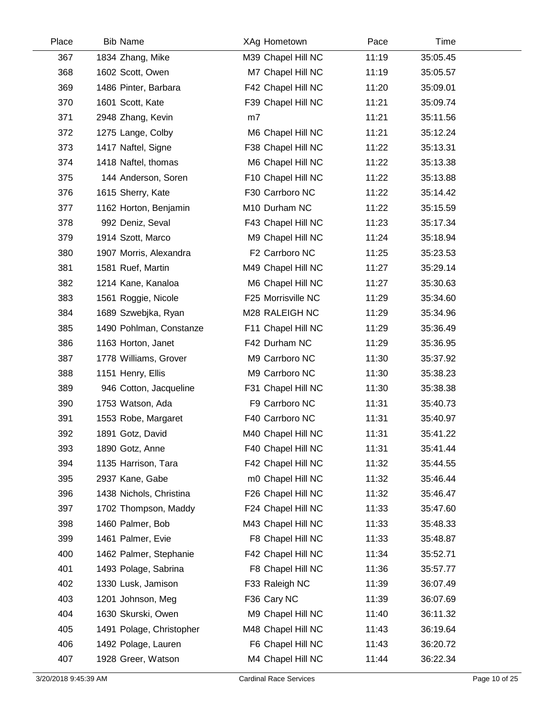| Place | <b>Bib Name</b>          | XAg Hometown       | Pace  | Time     |  |
|-------|--------------------------|--------------------|-------|----------|--|
| 367   | 1834 Zhang, Mike         | M39 Chapel Hill NC | 11:19 | 35:05.45 |  |
| 368   | 1602 Scott, Owen         | M7 Chapel Hill NC  | 11:19 | 35:05.57 |  |
| 369   | 1486 Pinter, Barbara     | F42 Chapel Hill NC | 11:20 | 35:09.01 |  |
| 370   | 1601 Scott, Kate         | F39 Chapel Hill NC | 11:21 | 35:09.74 |  |
| 371   | 2948 Zhang, Kevin        | m7                 | 11:21 | 35:11.56 |  |
| 372   | 1275 Lange, Colby        | M6 Chapel Hill NC  | 11:21 | 35:12.24 |  |
| 373   | 1417 Naftel, Signe       | F38 Chapel Hill NC | 11:22 | 35:13.31 |  |
| 374   | 1418 Naftel, thomas      | M6 Chapel Hill NC  | 11:22 | 35:13.38 |  |
| 375   | 144 Anderson, Soren      | F10 Chapel Hill NC | 11:22 | 35:13.88 |  |
| 376   | 1615 Sherry, Kate        | F30 Carrboro NC    | 11:22 | 35:14.42 |  |
| 377   | 1162 Horton, Benjamin    | M10 Durham NC      | 11:22 | 35:15.59 |  |
| 378   | 992 Deniz, Seval         | F43 Chapel Hill NC | 11:23 | 35:17.34 |  |
| 379   | 1914 Szott, Marco        | M9 Chapel Hill NC  | 11:24 | 35:18.94 |  |
| 380   | 1907 Morris, Alexandra   | F2 Carrboro NC     | 11:25 | 35:23.53 |  |
| 381   | 1581 Ruef, Martin        | M49 Chapel Hill NC | 11:27 | 35:29.14 |  |
| 382   | 1214 Kane, Kanaloa       | M6 Chapel Hill NC  | 11:27 | 35:30.63 |  |
| 383   | 1561 Roggie, Nicole      | F25 Morrisville NC | 11:29 | 35:34.60 |  |
| 384   | 1689 Szwebjka, Ryan      | M28 RALEIGH NC     | 11:29 | 35:34.96 |  |
| 385   | 1490 Pohlman, Constanze  | F11 Chapel Hill NC | 11:29 | 35:36.49 |  |
| 386   | 1163 Horton, Janet       | F42 Durham NC      | 11:29 | 35:36.95 |  |
| 387   | 1778 Williams, Grover    | M9 Carrboro NC     | 11:30 | 35:37.92 |  |
| 388   | 1151 Henry, Ellis        | M9 Carrboro NC     | 11:30 | 35:38.23 |  |
| 389   | 946 Cotton, Jacqueline   | F31 Chapel Hill NC | 11:30 | 35:38.38 |  |
| 390   | 1753 Watson, Ada         | F9 Carrboro NC     | 11:31 | 35:40.73 |  |
| 391   | 1553 Robe, Margaret      | F40 Carrboro NC    | 11:31 | 35:40.97 |  |
| 392   | 1891 Gotz, David         | M40 Chapel Hill NC | 11:31 | 35:41.22 |  |
| 393   | 1890 Gotz, Anne          | F40 Chapel Hill NC | 11:31 | 35:41.44 |  |
| 394   | 1135 Harrison, Tara      | F42 Chapel Hill NC | 11:32 | 35:44.55 |  |
| 395   | 2937 Kane, Gabe          | m0 Chapel Hill NC  | 11:32 | 35:46.44 |  |
| 396   | 1438 Nichols, Christina  | F26 Chapel Hill NC | 11:32 | 35:46.47 |  |
| 397   | 1702 Thompson, Maddy     | F24 Chapel Hill NC | 11:33 | 35:47.60 |  |
| 398   | 1460 Palmer, Bob         | M43 Chapel Hill NC | 11:33 | 35:48.33 |  |
| 399   | 1461 Palmer, Evie        | F8 Chapel Hill NC  | 11:33 | 35:48.87 |  |
| 400   | 1462 Palmer, Stephanie   | F42 Chapel Hill NC | 11:34 | 35:52.71 |  |
| 401   | 1493 Polage, Sabrina     | F8 Chapel Hill NC  | 11:36 | 35:57.77 |  |
| 402   | 1330 Lusk, Jamison       | F33 Raleigh NC     | 11:39 | 36:07.49 |  |
| 403   | 1201 Johnson, Meg        | F36 Cary NC        | 11:39 | 36:07.69 |  |
| 404   | 1630 Skurski, Owen       | M9 Chapel Hill NC  | 11:40 | 36:11.32 |  |
| 405   | 1491 Polage, Christopher | M48 Chapel Hill NC | 11:43 | 36:19.64 |  |
| 406   | 1492 Polage, Lauren      | F6 Chapel Hill NC  | 11:43 | 36:20.72 |  |
| 407   | 1928 Greer, Watson       | M4 Chapel Hill NC  | 11:44 | 36:22.34 |  |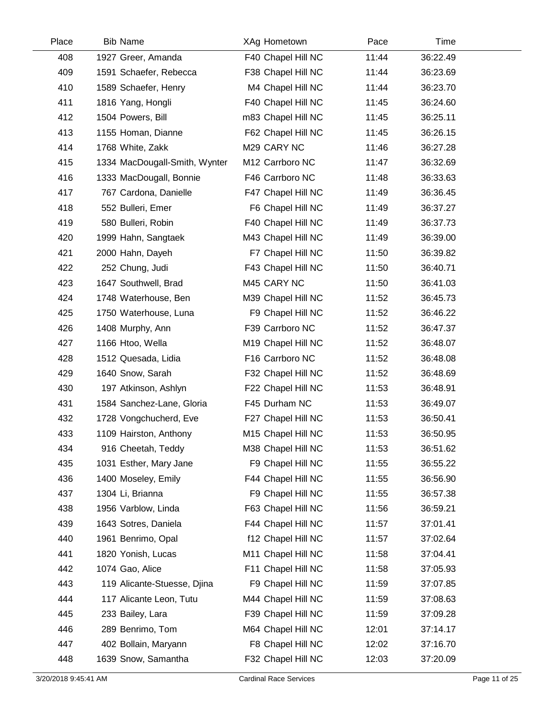| Place | <b>Bib Name</b>               | XAg Hometown       | Pace  | Time     |  |
|-------|-------------------------------|--------------------|-------|----------|--|
| 408   | 1927 Greer, Amanda            | F40 Chapel Hill NC | 11:44 | 36:22.49 |  |
| 409   | 1591 Schaefer, Rebecca        | F38 Chapel Hill NC | 11:44 | 36:23.69 |  |
| 410   | 1589 Schaefer, Henry          | M4 Chapel Hill NC  | 11:44 | 36:23.70 |  |
| 411   | 1816 Yang, Hongli             | F40 Chapel Hill NC | 11:45 | 36:24.60 |  |
| 412   | 1504 Powers, Bill             | m83 Chapel Hill NC | 11:45 | 36:25.11 |  |
| 413   | 1155 Homan, Dianne            | F62 Chapel Hill NC | 11:45 | 36:26.15 |  |
| 414   | 1768 White, Zakk              | M29 CARY NC        | 11:46 | 36:27.28 |  |
| 415   | 1334 MacDougall-Smith, Wynter | M12 Carrboro NC    | 11:47 | 36:32.69 |  |
| 416   | 1333 MacDougall, Bonnie       | F46 Carrboro NC    | 11:48 | 36:33.63 |  |
| 417   | 767 Cardona, Danielle         | F47 Chapel Hill NC | 11:49 | 36:36.45 |  |
| 418   | 552 Bulleri, Emer             | F6 Chapel Hill NC  | 11:49 | 36:37.27 |  |
| 419   | 580 Bulleri, Robin            | F40 Chapel Hill NC | 11:49 | 36:37.73 |  |
| 420   | 1999 Hahn, Sangtaek           | M43 Chapel Hill NC | 11:49 | 36:39.00 |  |
| 421   | 2000 Hahn, Dayeh              | F7 Chapel Hill NC  | 11:50 | 36:39.82 |  |
| 422   | 252 Chung, Judi               | F43 Chapel Hill NC | 11:50 | 36:40.71 |  |
| 423   | 1647 Southwell, Brad          | M45 CARY NC        | 11:50 | 36:41.03 |  |
| 424   | 1748 Waterhouse, Ben          | M39 Chapel Hill NC | 11:52 | 36:45.73 |  |
| 425   | 1750 Waterhouse, Luna         | F9 Chapel Hill NC  | 11:52 | 36:46.22 |  |
| 426   | 1408 Murphy, Ann              | F39 Carrboro NC    | 11:52 | 36:47.37 |  |
| 427   | 1166 Htoo, Wella              | M19 Chapel Hill NC | 11:52 | 36:48.07 |  |
| 428   | 1512 Quesada, Lidia           | F16 Carrboro NC    | 11:52 | 36:48.08 |  |
| 429   | 1640 Snow, Sarah              | F32 Chapel Hill NC | 11:52 | 36:48.69 |  |
| 430   | 197 Atkinson, Ashlyn          | F22 Chapel Hill NC | 11:53 | 36:48.91 |  |
| 431   | 1584 Sanchez-Lane, Gloria     | F45 Durham NC      | 11:53 | 36:49.07 |  |
| 432   | 1728 Vongchucherd, Eve        | F27 Chapel Hill NC | 11:53 | 36:50.41 |  |
| 433   | 1109 Hairston, Anthony        | M15 Chapel Hill NC | 11:53 | 36:50.95 |  |
| 434   | 916 Cheetah, Teddy            | M38 Chapel Hill NC | 11:53 | 36:51.62 |  |
| 435   | 1031 Esther, Mary Jane        | F9 Chapel Hill NC  | 11:55 | 36:55.22 |  |
| 436   | 1400 Moseley, Emily           | F44 Chapel Hill NC | 11:55 | 36:56.90 |  |
| 437   | 1304 Li, Brianna              | F9 Chapel Hill NC  | 11:55 | 36:57.38 |  |
| 438   | 1956 Varblow, Linda           | F63 Chapel Hill NC | 11:56 | 36:59.21 |  |
| 439   | 1643 Sotres, Daniela          | F44 Chapel Hill NC | 11:57 | 37:01.41 |  |
| 440   | 1961 Benrimo, Opal            | f12 Chapel Hill NC | 11:57 | 37:02.64 |  |
| 441   | 1820 Yonish, Lucas            | M11 Chapel Hill NC | 11:58 | 37:04.41 |  |
| 442   | 1074 Gao, Alice               | F11 Chapel Hill NC | 11:58 | 37:05.93 |  |
| 443   | 119 Alicante-Stuesse, Djina   | F9 Chapel Hill NC  | 11:59 | 37:07.85 |  |
| 444   | 117 Alicante Leon, Tutu       | M44 Chapel Hill NC | 11:59 | 37:08.63 |  |
| 445   | 233 Bailey, Lara              | F39 Chapel Hill NC | 11:59 | 37:09.28 |  |
| 446   | 289 Benrimo, Tom              | M64 Chapel Hill NC | 12:01 | 37:14.17 |  |
| 447   | 402 Bollain, Maryann          | F8 Chapel Hill NC  | 12:02 | 37:16.70 |  |
| 448   | 1639 Snow, Samantha           | F32 Chapel Hill NC | 12:03 | 37:20.09 |  |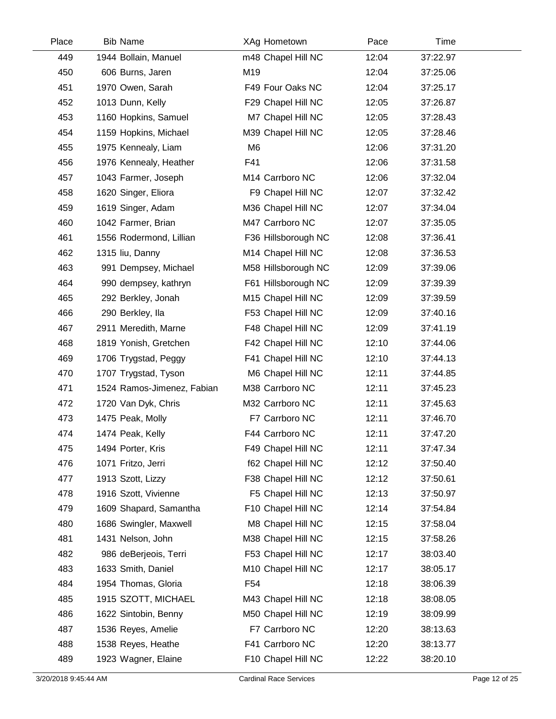| Place | <b>Bib Name</b>            | XAg Hometown                | Pace  | Time     |  |
|-------|----------------------------|-----------------------------|-------|----------|--|
| 449   | 1944 Bollain, Manuel       | m48 Chapel Hill NC          | 12:04 | 37:22.97 |  |
| 450   | 606 Burns, Jaren           | M19                         | 12:04 | 37:25.06 |  |
| 451   | 1970 Owen, Sarah           | F49 Four Oaks NC            | 12:04 | 37:25.17 |  |
| 452   | 1013 Dunn, Kelly           | F29 Chapel Hill NC          | 12:05 | 37:26.87 |  |
| 453   | 1160 Hopkins, Samuel       | M7 Chapel Hill NC           | 12:05 | 37:28.43 |  |
| 454   | 1159 Hopkins, Michael      | M39 Chapel Hill NC          | 12:05 | 37:28.46 |  |
| 455   | 1975 Kennealy, Liam        | M <sub>6</sub>              | 12:06 | 37:31.20 |  |
| 456   | 1976 Kennealy, Heather     | F41                         | 12:06 | 37:31.58 |  |
| 457   | 1043 Farmer, Joseph        | M <sub>14</sub> Carrboro NC | 12:06 | 37:32.04 |  |
| 458   | 1620 Singer, Eliora        | F9 Chapel Hill NC           | 12:07 | 37:32.42 |  |
| 459   | 1619 Singer, Adam          | M36 Chapel Hill NC          | 12:07 | 37:34.04 |  |
| 460   | 1042 Farmer, Brian         | M47 Carrboro NC             | 12:07 | 37:35.05 |  |
| 461   | 1556 Rodermond, Lillian    | F36 Hillsborough NC         | 12:08 | 37:36.41 |  |
| 462   | 1315 liu, Danny            | M14 Chapel Hill NC          | 12:08 | 37:36.53 |  |
| 463   | 991 Dempsey, Michael       | M58 Hillsborough NC         | 12:09 | 37:39.06 |  |
| 464   | 990 dempsey, kathryn       | F61 Hillsborough NC         | 12:09 | 37:39.39 |  |
| 465   | 292 Berkley, Jonah         | M15 Chapel Hill NC          | 12:09 | 37:39.59 |  |
| 466   | 290 Berkley, Ila           | F53 Chapel Hill NC          | 12:09 | 37:40.16 |  |
| 467   | 2911 Meredith, Marne       | F48 Chapel Hill NC          | 12:09 | 37:41.19 |  |
| 468   | 1819 Yonish, Gretchen      | F42 Chapel Hill NC          | 12:10 | 37:44.06 |  |
| 469   | 1706 Trygstad, Peggy       | F41 Chapel Hill NC          | 12:10 | 37:44.13 |  |
| 470   | 1707 Trygstad, Tyson       | M6 Chapel Hill NC           | 12:11 | 37:44.85 |  |
| 471   | 1524 Ramos-Jimenez, Fabian | M38 Carrboro NC             | 12:11 | 37:45.23 |  |
| 472   | 1720 Van Dyk, Chris        | M32 Carrboro NC             | 12:11 | 37:45.63 |  |
| 473   | 1475 Peak, Molly           | F7 Carrboro NC              | 12:11 | 37:46.70 |  |
| 474   | 1474 Peak, Kelly           | F44 Carrboro NC             | 12:11 | 37:47.20 |  |
| 475   | 1494 Porter, Kris          | F49 Chapel Hill NC          | 12:11 | 37:47.34 |  |
| 476   | 1071 Fritzo, Jerri         | f62 Chapel Hill NC          | 12:12 | 37:50.40 |  |
| 477   | 1913 Szott, Lizzy          | F38 Chapel Hill NC          | 12:12 | 37:50.61 |  |
| 478   | 1916 Szott, Vivienne       | F5 Chapel Hill NC           | 12:13 | 37:50.97 |  |
| 479   | 1609 Shapard, Samantha     | F10 Chapel Hill NC          | 12:14 | 37:54.84 |  |
| 480   | 1686 Swingler, Maxwell     | M8 Chapel Hill NC           | 12:15 | 37:58.04 |  |
| 481   | 1431 Nelson, John          | M38 Chapel Hill NC          | 12:15 | 37:58.26 |  |
| 482   | 986 deBerjeois, Terri      | F53 Chapel Hill NC          | 12:17 | 38:03.40 |  |
| 483   | 1633 Smith, Daniel         | M10 Chapel Hill NC          | 12:17 | 38:05.17 |  |
| 484   | 1954 Thomas, Gloria        | F <sub>54</sub>             | 12:18 | 38:06.39 |  |
| 485   | 1915 SZOTT, MICHAEL        | M43 Chapel Hill NC          | 12:18 | 38:08.05 |  |
| 486   | 1622 Sintobin, Benny       | M50 Chapel Hill NC          | 12:19 | 38:09.99 |  |
| 487   | 1536 Reyes, Amelie         | F7 Carrboro NC              | 12:20 | 38:13.63 |  |
| 488   | 1538 Reyes, Heathe         | F41 Carrboro NC             | 12:20 | 38:13.77 |  |
| 489   | 1923 Wagner, Elaine        | F10 Chapel Hill NC          | 12:22 | 38:20.10 |  |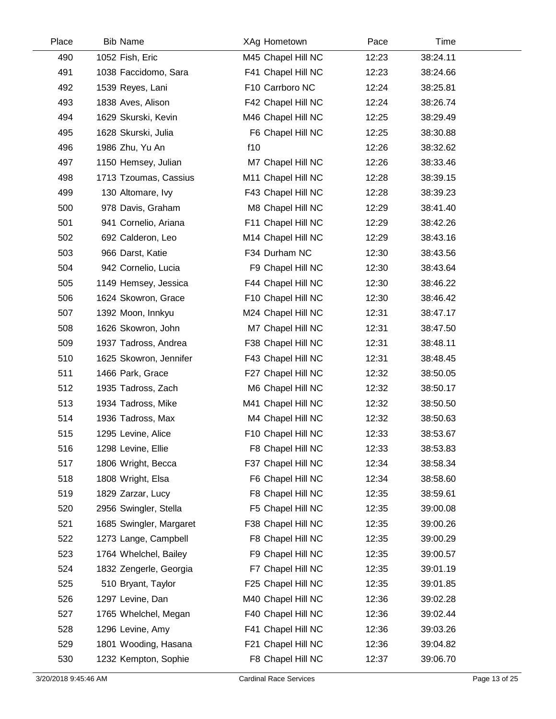| Place | <b>Bib Name</b>         | XAg Hometown       | Pace  | Time     |  |
|-------|-------------------------|--------------------|-------|----------|--|
| 490   | 1052 Fish, Eric         | M45 Chapel Hill NC | 12:23 | 38:24.11 |  |
| 491   | 1038 Faccidomo, Sara    | F41 Chapel Hill NC | 12:23 | 38:24.66 |  |
| 492   | 1539 Reyes, Lani        | F10 Carrboro NC    | 12:24 | 38:25.81 |  |
| 493   | 1838 Aves, Alison       | F42 Chapel Hill NC | 12:24 | 38:26.74 |  |
| 494   | 1629 Skurski, Kevin     | M46 Chapel Hill NC | 12:25 | 38:29.49 |  |
| 495   | 1628 Skurski, Julia     | F6 Chapel Hill NC  | 12:25 | 38:30.88 |  |
| 496   | 1986 Zhu, Yu An         | f10                | 12:26 | 38:32.62 |  |
| 497   | 1150 Hemsey, Julian     | M7 Chapel Hill NC  | 12:26 | 38:33.46 |  |
| 498   | 1713 Tzoumas, Cassius   | M11 Chapel Hill NC | 12:28 | 38:39.15 |  |
| 499   | 130 Altomare, Ivy       | F43 Chapel Hill NC | 12:28 | 38:39.23 |  |
| 500   | 978 Davis, Graham       | M8 Chapel Hill NC  | 12:29 | 38:41.40 |  |
| 501   | 941 Cornelio, Ariana    | F11 Chapel Hill NC | 12:29 | 38:42.26 |  |
| 502   | 692 Calderon, Leo       | M14 Chapel Hill NC | 12:29 | 38:43.16 |  |
| 503   | 966 Darst, Katie        | F34 Durham NC      | 12:30 | 38:43.56 |  |
| 504   | 942 Cornelio, Lucia     | F9 Chapel Hill NC  | 12:30 | 38:43.64 |  |
| 505   | 1149 Hemsey, Jessica    | F44 Chapel Hill NC | 12:30 | 38:46.22 |  |
| 506   | 1624 Skowron, Grace     | F10 Chapel Hill NC | 12:30 | 38:46.42 |  |
| 507   | 1392 Moon, Innkyu       | M24 Chapel Hill NC | 12:31 | 38:47.17 |  |
| 508   | 1626 Skowron, John      | M7 Chapel Hill NC  | 12:31 | 38:47.50 |  |
| 509   | 1937 Tadross, Andrea    | F38 Chapel Hill NC | 12:31 | 38:48.11 |  |
| 510   | 1625 Skowron, Jennifer  | F43 Chapel Hill NC | 12:31 | 38:48.45 |  |
| 511   | 1466 Park, Grace        | F27 Chapel Hill NC | 12:32 | 38:50.05 |  |
| 512   | 1935 Tadross, Zach      | M6 Chapel Hill NC  | 12:32 | 38:50.17 |  |
| 513   | 1934 Tadross, Mike      | M41 Chapel Hill NC | 12:32 | 38:50.50 |  |
| 514   | 1936 Tadross, Max       | M4 Chapel Hill NC  | 12:32 | 38:50.63 |  |
| 515   | 1295 Levine, Alice      | F10 Chapel Hill NC | 12:33 | 38:53.67 |  |
| 516   | 1298 Levine, Ellie      | F8 Chapel Hill NC  | 12:33 | 38:53.83 |  |
| 517   | 1806 Wright, Becca      | F37 Chapel Hill NC | 12:34 | 38:58.34 |  |
| 518   | 1808 Wright, Elsa       | F6 Chapel Hill NC  | 12:34 | 38:58.60 |  |
| 519   | 1829 Zarzar, Lucy       | F8 Chapel Hill NC  | 12:35 | 38:59.61 |  |
| 520   | 2956 Swingler, Stella   | F5 Chapel Hill NC  | 12:35 | 39:00.08 |  |
| 521   | 1685 Swingler, Margaret | F38 Chapel Hill NC | 12:35 | 39:00.26 |  |
| 522   | 1273 Lange, Campbell    | F8 Chapel Hill NC  | 12:35 | 39:00.29 |  |
| 523   | 1764 Whelchel, Bailey   | F9 Chapel Hill NC  | 12:35 | 39:00.57 |  |
| 524   | 1832 Zengerle, Georgia  | F7 Chapel Hill NC  | 12:35 | 39:01.19 |  |
| 525   | 510 Bryant, Taylor      | F25 Chapel Hill NC | 12:35 | 39:01.85 |  |
| 526   | 1297 Levine, Dan        | M40 Chapel Hill NC | 12:36 | 39:02.28 |  |
| 527   | 1765 Whelchel, Megan    | F40 Chapel Hill NC | 12:36 | 39:02.44 |  |
| 528   | 1296 Levine, Amy        | F41 Chapel Hill NC | 12:36 | 39:03.26 |  |
| 529   | 1801 Wooding, Hasana    | F21 Chapel Hill NC | 12:36 | 39:04.82 |  |
| 530   | 1232 Kempton, Sophie    | F8 Chapel Hill NC  | 12:37 | 39:06.70 |  |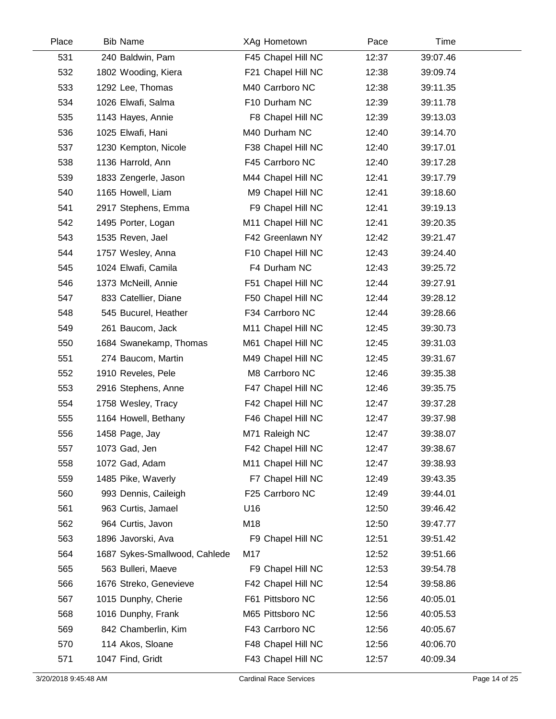| Place | <b>Bib Name</b>               | XAg Hometown       | Pace  | Time     |
|-------|-------------------------------|--------------------|-------|----------|
| 531   | 240 Baldwin, Pam              | F45 Chapel Hill NC | 12:37 | 39:07.46 |
| 532   | 1802 Wooding, Kiera           | F21 Chapel Hill NC | 12:38 | 39:09.74 |
| 533   | 1292 Lee, Thomas              | M40 Carrboro NC    | 12:38 | 39:11.35 |
| 534   | 1026 Elwafi, Salma            | F10 Durham NC      | 12:39 | 39:11.78 |
| 535   | 1143 Hayes, Annie             | F8 Chapel Hill NC  | 12:39 | 39:13.03 |
| 536   | 1025 Elwafi, Hani             | M40 Durham NC      | 12:40 | 39:14.70 |
| 537   | 1230 Kempton, Nicole          | F38 Chapel Hill NC | 12:40 | 39:17.01 |
| 538   | 1136 Harrold, Ann             | F45 Carrboro NC    | 12:40 | 39:17.28 |
| 539   | 1833 Zengerle, Jason          | M44 Chapel Hill NC | 12:41 | 39:17.79 |
| 540   | 1165 Howell, Liam             | M9 Chapel Hill NC  | 12:41 | 39:18.60 |
| 541   | 2917 Stephens, Emma           | F9 Chapel Hill NC  | 12:41 | 39:19.13 |
| 542   | 1495 Porter, Logan            | M11 Chapel Hill NC | 12:41 | 39:20.35 |
| 543   | 1535 Reven, Jael              | F42 Greenlawn NY   | 12:42 | 39:21.47 |
| 544   | 1757 Wesley, Anna             | F10 Chapel Hill NC | 12:43 | 39:24.40 |
| 545   | 1024 Elwafi, Camila           | F4 Durham NC       | 12:43 | 39:25.72 |
| 546   | 1373 McNeill, Annie           | F51 Chapel Hill NC | 12:44 | 39:27.91 |
| 547   | 833 Catellier, Diane          | F50 Chapel Hill NC | 12:44 | 39:28.12 |
| 548   | 545 Bucurel, Heather          | F34 Carrboro NC    | 12:44 | 39:28.66 |
| 549   | 261 Baucom, Jack              | M11 Chapel Hill NC | 12:45 | 39:30.73 |
| 550   | 1684 Swanekamp, Thomas        | M61 Chapel Hill NC | 12:45 | 39:31.03 |
| 551   | 274 Baucom, Martin            | M49 Chapel Hill NC | 12:45 | 39:31.67 |
| 552   | 1910 Reveles, Pele            | M8 Carrboro NC     | 12:46 | 39:35.38 |
| 553   | 2916 Stephens, Anne           | F47 Chapel Hill NC | 12:46 | 39:35.75 |
| 554   | 1758 Wesley, Tracy            | F42 Chapel Hill NC | 12:47 | 39:37.28 |
| 555   | 1164 Howell, Bethany          | F46 Chapel Hill NC | 12:47 | 39:37.98 |
| 556   | 1458 Page, Jay                | M71 Raleigh NC     | 12:47 | 39:38.07 |
| 557   | 1073 Gad, Jen                 | F42 Chapel Hill NC | 12:47 | 39:38.67 |
| 558   | 1072 Gad, Adam                | M11 Chapel Hill NC | 12:47 | 39:38.93 |
| 559   | 1485 Pike, Waverly            | F7 Chapel Hill NC  | 12:49 | 39:43.35 |
| 560   | 993 Dennis, Caileigh          | F25 Carrboro NC    | 12:49 | 39:44.01 |
| 561   | 963 Curtis, Jamael            | U16                | 12:50 | 39:46.42 |
| 562   | 964 Curtis, Javon             | M18                | 12:50 | 39:47.77 |
| 563   | 1896 Javorski, Ava            | F9 Chapel Hill NC  | 12:51 | 39:51.42 |
| 564   | 1687 Sykes-Smallwood, Cahlede | M17                | 12:52 | 39:51.66 |
| 565   | 563 Bulleri, Maeve            | F9 Chapel Hill NC  | 12:53 | 39:54.78 |
| 566   | 1676 Streko, Genevieve        | F42 Chapel Hill NC | 12:54 | 39:58.86 |
| 567   | 1015 Dunphy, Cherie           | F61 Pittsboro NC   | 12:56 | 40:05.01 |
| 568   | 1016 Dunphy, Frank            | M65 Pittsboro NC   | 12:56 | 40:05.53 |
| 569   | 842 Chamberlin, Kim           | F43 Carrboro NC    | 12:56 | 40:05.67 |
| 570   | 114 Akos, Sloane              | F48 Chapel Hill NC | 12:56 | 40:06.70 |
| 571   | 1047 Find, Gridt              | F43 Chapel Hill NC | 12:57 | 40:09.34 |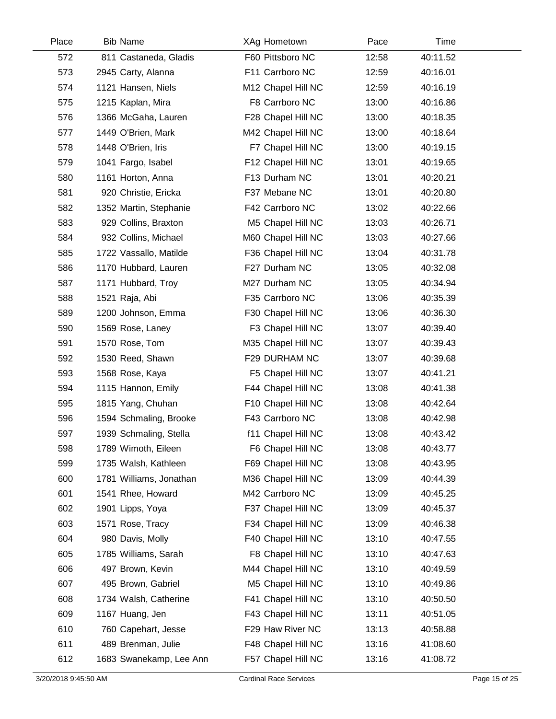| Place | <b>Bib Name</b>         | XAg Hometown       | Pace  | Time     |  |
|-------|-------------------------|--------------------|-------|----------|--|
| 572   | 811 Castaneda, Gladis   | F60 Pittsboro NC   | 12:58 | 40:11.52 |  |
| 573   | 2945 Carty, Alanna      | F11 Carrboro NC    | 12:59 | 40:16.01 |  |
| 574   | 1121 Hansen, Niels      | M12 Chapel Hill NC | 12:59 | 40:16.19 |  |
| 575   | 1215 Kaplan, Mira       | F8 Carrboro NC     | 13:00 | 40:16.86 |  |
| 576   | 1366 McGaha, Lauren     | F28 Chapel Hill NC | 13:00 | 40:18.35 |  |
| 577   | 1449 O'Brien, Mark      | M42 Chapel Hill NC | 13:00 | 40:18.64 |  |
| 578   | 1448 O'Brien, Iris      | F7 Chapel Hill NC  | 13:00 | 40:19.15 |  |
| 579   | 1041 Fargo, Isabel      | F12 Chapel Hill NC | 13:01 | 40:19.65 |  |
| 580   | 1161 Horton, Anna       | F13 Durham NC      | 13:01 | 40:20.21 |  |
| 581   | 920 Christie, Ericka    | F37 Mebane NC      | 13:01 | 40:20.80 |  |
| 582   | 1352 Martin, Stephanie  | F42 Carrboro NC    | 13:02 | 40:22.66 |  |
| 583   | 929 Collins, Braxton    | M5 Chapel Hill NC  | 13:03 | 40:26.71 |  |
| 584   | 932 Collins, Michael    | M60 Chapel Hill NC | 13:03 | 40:27.66 |  |
| 585   | 1722 Vassallo, Matilde  | F36 Chapel Hill NC | 13:04 | 40:31.78 |  |
| 586   | 1170 Hubbard, Lauren    | F27 Durham NC      | 13:05 | 40:32.08 |  |
| 587   | 1171 Hubbard, Troy      | M27 Durham NC      | 13:05 | 40:34.94 |  |
| 588   | 1521 Raja, Abi          | F35 Carrboro NC    | 13:06 | 40:35.39 |  |
| 589   | 1200 Johnson, Emma      | F30 Chapel Hill NC | 13:06 | 40:36.30 |  |
| 590   | 1569 Rose, Laney        | F3 Chapel Hill NC  | 13:07 | 40:39.40 |  |
| 591   | 1570 Rose, Tom          | M35 Chapel Hill NC | 13:07 | 40:39.43 |  |
| 592   | 1530 Reed, Shawn        | F29 DURHAM NC      | 13:07 | 40:39.68 |  |
| 593   | 1568 Rose, Kaya         | F5 Chapel Hill NC  | 13:07 | 40:41.21 |  |
| 594   | 1115 Hannon, Emily      | F44 Chapel Hill NC | 13:08 | 40:41.38 |  |
| 595   | 1815 Yang, Chuhan       | F10 Chapel Hill NC | 13:08 | 40:42.64 |  |
| 596   | 1594 Schmaling, Brooke  | F43 Carrboro NC    | 13:08 | 40:42.98 |  |
| 597   | 1939 Schmaling, Stella  | f11 Chapel Hill NC | 13:08 | 40:43.42 |  |
| 598   | 1789 Wimoth, Eileen     | F6 Chapel Hill NC  | 13:08 | 40:43.77 |  |
| 599   | 1735 Walsh, Kathleen    | F69 Chapel Hill NC | 13:08 | 40:43.95 |  |
| 600   | 1781 Williams, Jonathan | M36 Chapel Hill NC | 13:09 | 40:44.39 |  |
| 601   | 1541 Rhee, Howard       | M42 Carrboro NC    | 13:09 | 40:45.25 |  |
| 602   | 1901 Lipps, Yoya        | F37 Chapel Hill NC | 13:09 | 40:45.37 |  |
| 603   | 1571 Rose, Tracy        | F34 Chapel Hill NC | 13:09 | 40:46.38 |  |
| 604   | 980 Davis, Molly        | F40 Chapel Hill NC | 13:10 | 40:47.55 |  |
| 605   | 1785 Williams, Sarah    | F8 Chapel Hill NC  | 13:10 | 40:47.63 |  |
| 606   | 497 Brown, Kevin        | M44 Chapel Hill NC | 13:10 | 40:49.59 |  |
| 607   | 495 Brown, Gabriel      | M5 Chapel Hill NC  | 13:10 | 40:49.86 |  |
| 608   | 1734 Walsh, Catherine   | F41 Chapel Hill NC | 13:10 | 40:50.50 |  |
| 609   | 1167 Huang, Jen         | F43 Chapel Hill NC | 13:11 | 40:51.05 |  |
| 610   | 760 Capehart, Jesse     | F29 Haw River NC   | 13:13 | 40:58.88 |  |
| 611   | 489 Brenman, Julie      | F48 Chapel Hill NC | 13:16 | 41:08.60 |  |
| 612   | 1683 Swanekamp, Lee Ann | F57 Chapel Hill NC | 13:16 | 41:08.72 |  |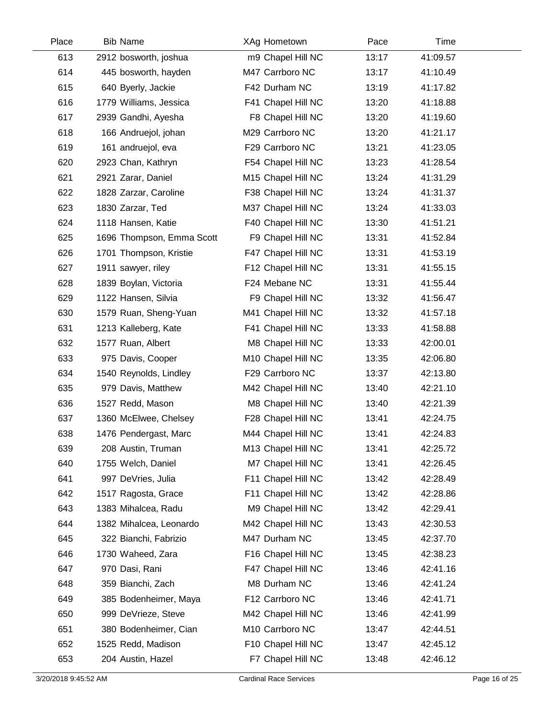| Place | <b>Bib Name</b>           | XAg Hometown       | Pace  | Time     |  |
|-------|---------------------------|--------------------|-------|----------|--|
| 613   | 2912 bosworth, joshua     | m9 Chapel Hill NC  | 13:17 | 41:09.57 |  |
| 614   | 445 bosworth, hayden      | M47 Carrboro NC    | 13:17 | 41:10.49 |  |
| 615   | 640 Byerly, Jackie        | F42 Durham NC      | 13:19 | 41:17.82 |  |
| 616   | 1779 Williams, Jessica    | F41 Chapel Hill NC | 13:20 | 41:18.88 |  |
| 617   | 2939 Gandhi, Ayesha       | F8 Chapel Hill NC  | 13:20 | 41:19.60 |  |
| 618   | 166 Andruejol, johan      | M29 Carrboro NC    | 13:20 | 41:21.17 |  |
| 619   | 161 andruejol, eva        | F29 Carrboro NC    | 13:21 | 41:23.05 |  |
| 620   | 2923 Chan, Kathryn        | F54 Chapel Hill NC | 13:23 | 41:28.54 |  |
| 621   | 2921 Zarar, Daniel        | M15 Chapel Hill NC | 13:24 | 41:31.29 |  |
| 622   | 1828 Zarzar, Caroline     | F38 Chapel Hill NC | 13:24 | 41:31.37 |  |
| 623   | 1830 Zarzar, Ted          | M37 Chapel Hill NC | 13:24 | 41:33.03 |  |
| 624   | 1118 Hansen, Katie        | F40 Chapel Hill NC | 13:30 | 41:51.21 |  |
| 625   | 1696 Thompson, Emma Scott | F9 Chapel Hill NC  | 13:31 | 41:52.84 |  |
| 626   | 1701 Thompson, Kristie    | F47 Chapel Hill NC | 13:31 | 41:53.19 |  |
| 627   | 1911 sawyer, riley        | F12 Chapel Hill NC | 13:31 | 41:55.15 |  |
| 628   | 1839 Boylan, Victoria     | F24 Mebane NC      | 13:31 | 41:55.44 |  |
| 629   | 1122 Hansen, Silvia       | F9 Chapel Hill NC  | 13:32 | 41:56.47 |  |
| 630   | 1579 Ruan, Sheng-Yuan     | M41 Chapel Hill NC | 13:32 | 41:57.18 |  |
| 631   | 1213 Kalleberg, Kate      | F41 Chapel Hill NC | 13:33 | 41:58.88 |  |
| 632   | 1577 Ruan, Albert         | M8 Chapel Hill NC  | 13:33 | 42:00.01 |  |
| 633   | 975 Davis, Cooper         | M10 Chapel Hill NC | 13:35 | 42:06.80 |  |
| 634   | 1540 Reynolds, Lindley    | F29 Carrboro NC    | 13:37 | 42:13.80 |  |
| 635   | 979 Davis, Matthew        | M42 Chapel Hill NC | 13:40 | 42:21.10 |  |
| 636   | 1527 Redd, Mason          | M8 Chapel Hill NC  | 13:40 | 42:21.39 |  |
| 637   | 1360 McElwee, Chelsey     | F28 Chapel Hill NC | 13:41 | 42:24.75 |  |
| 638   | 1476 Pendergast, Marc     | M44 Chapel Hill NC | 13:41 | 42:24.83 |  |
| 639   | 208 Austin, Truman        | M13 Chapel Hill NC | 13:41 | 42:25.72 |  |
| 640   | 1755 Welch, Daniel        | M7 Chapel Hill NC  | 13:41 | 42:26.45 |  |
| 641   | 997 DeVries, Julia        | F11 Chapel Hill NC | 13:42 | 42:28.49 |  |
| 642   | 1517 Ragosta, Grace       | F11 Chapel Hill NC | 13:42 | 42:28.86 |  |
| 643   | 1383 Mihalcea, Radu       | M9 Chapel Hill NC  | 13:42 | 42:29.41 |  |
| 644   | 1382 Mihalcea, Leonardo   | M42 Chapel Hill NC | 13:43 | 42:30.53 |  |
| 645   | 322 Bianchi, Fabrizio     | M47 Durham NC      | 13:45 | 42:37.70 |  |
| 646   | 1730 Waheed, Zara         | F16 Chapel Hill NC | 13:45 | 42:38.23 |  |
| 647   | 970 Dasi, Rani            | F47 Chapel Hill NC | 13:46 | 42:41.16 |  |
| 648   | 359 Bianchi, Zach         | M8 Durham NC       | 13:46 | 42:41.24 |  |
| 649   | 385 Bodenheimer, Maya     | F12 Carrboro NC    | 13:46 | 42:41.71 |  |
| 650   | 999 DeVrieze, Steve       | M42 Chapel Hill NC | 13:46 | 42:41.99 |  |
| 651   | 380 Bodenheimer, Cian     | M10 Carrboro NC    | 13:47 | 42:44.51 |  |
| 652   | 1525 Redd, Madison        | F10 Chapel Hill NC | 13:47 | 42:45.12 |  |
| 653   | 204 Austin, Hazel         | F7 Chapel Hill NC  | 13:48 | 42:46.12 |  |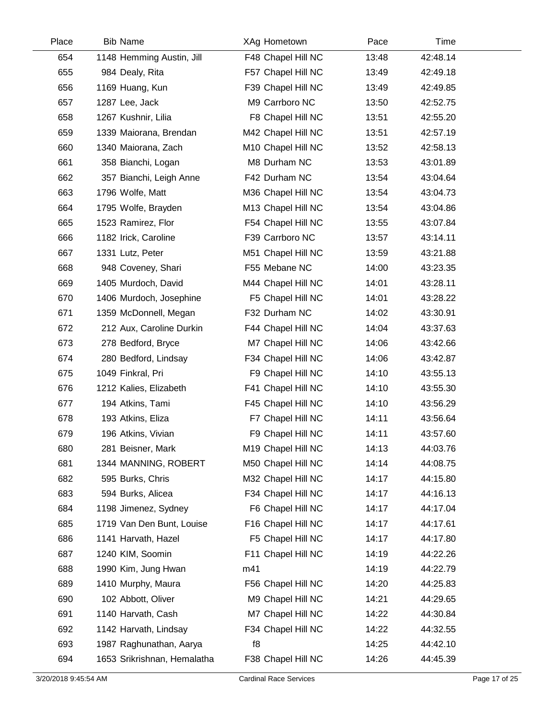| Place | <b>Bib Name</b>             | XAg Hometown       | Pace  | Time     |  |
|-------|-----------------------------|--------------------|-------|----------|--|
| 654   | 1148 Hemming Austin, Jill   | F48 Chapel Hill NC | 13:48 | 42:48.14 |  |
| 655   | 984 Dealy, Rita             | F57 Chapel Hill NC | 13:49 | 42:49.18 |  |
| 656   | 1169 Huang, Kun             | F39 Chapel Hill NC | 13:49 | 42:49.85 |  |
| 657   | 1287 Lee, Jack              | M9 Carrboro NC     | 13:50 | 42:52.75 |  |
| 658   | 1267 Kushnir, Lilia         | F8 Chapel Hill NC  | 13:51 | 42:55.20 |  |
| 659   | 1339 Maiorana, Brendan      | M42 Chapel Hill NC | 13:51 | 42:57.19 |  |
| 660   | 1340 Maiorana, Zach         | M10 Chapel Hill NC | 13:52 | 42:58.13 |  |
| 661   | 358 Bianchi, Logan          | M8 Durham NC       | 13:53 | 43:01.89 |  |
| 662   | 357 Bianchi, Leigh Anne     | F42 Durham NC      | 13:54 | 43:04.64 |  |
| 663   | 1796 Wolfe, Matt            | M36 Chapel Hill NC | 13:54 | 43:04.73 |  |
| 664   | 1795 Wolfe, Brayden         | M13 Chapel Hill NC | 13:54 | 43:04.86 |  |
| 665   | 1523 Ramirez, Flor          | F54 Chapel Hill NC | 13:55 | 43:07.84 |  |
| 666   | 1182 Irick, Caroline        | F39 Carrboro NC    | 13:57 | 43:14.11 |  |
| 667   | 1331 Lutz, Peter            | M51 Chapel Hill NC | 13:59 | 43:21.88 |  |
| 668   | 948 Coveney, Shari          | F55 Mebane NC      | 14:00 | 43:23.35 |  |
| 669   | 1405 Murdoch, David         | M44 Chapel Hill NC | 14:01 | 43:28.11 |  |
| 670   | 1406 Murdoch, Josephine     | F5 Chapel Hill NC  | 14:01 | 43:28.22 |  |
| 671   | 1359 McDonnell, Megan       | F32 Durham NC      | 14:02 | 43:30.91 |  |
| 672   | 212 Aux, Caroline Durkin    | F44 Chapel Hill NC | 14:04 | 43:37.63 |  |
| 673   | 278 Bedford, Bryce          | M7 Chapel Hill NC  | 14:06 | 43:42.66 |  |
| 674   | 280 Bedford, Lindsay        | F34 Chapel Hill NC | 14:06 | 43:42.87 |  |
| 675   | 1049 Finkral, Pri           | F9 Chapel Hill NC  | 14:10 | 43:55.13 |  |
| 676   | 1212 Kalies, Elizabeth      | F41 Chapel Hill NC | 14:10 | 43:55.30 |  |
| 677   | 194 Atkins, Tami            | F45 Chapel Hill NC | 14:10 | 43:56.29 |  |
| 678   | 193 Atkins, Eliza           | F7 Chapel Hill NC  | 14:11 | 43:56.64 |  |
| 679   | 196 Atkins, Vivian          | F9 Chapel Hill NC  | 14:11 | 43:57.60 |  |
| 680   | 281 Beisner, Mark           | M19 Chapel Hill NC | 14:13 | 44:03.76 |  |
| 681   | 1344 MANNING, ROBERT        | M50 Chapel Hill NC | 14:14 | 44:08.75 |  |
| 682   | 595 Burks, Chris            | M32 Chapel Hill NC | 14:17 | 44:15.80 |  |
| 683   | 594 Burks, Alicea           | F34 Chapel Hill NC | 14:17 | 44:16.13 |  |
| 684   | 1198 Jimenez, Sydney        | F6 Chapel Hill NC  | 14:17 | 44:17.04 |  |
| 685   | 1719 Van Den Bunt, Louise   | F16 Chapel Hill NC | 14:17 | 44:17.61 |  |
| 686   | 1141 Harvath, Hazel         | F5 Chapel Hill NC  | 14:17 | 44:17.80 |  |
| 687   | 1240 KIM, Soomin            | F11 Chapel Hill NC | 14:19 | 44:22.26 |  |
| 688   | 1990 Kim, Jung Hwan         | m41                | 14:19 | 44:22.79 |  |
| 689   | 1410 Murphy, Maura          | F56 Chapel Hill NC | 14:20 | 44:25.83 |  |
| 690   | 102 Abbott, Oliver          | M9 Chapel Hill NC  | 14:21 | 44:29.65 |  |
| 691   | 1140 Harvath, Cash          | M7 Chapel Hill NC  | 14:22 | 44:30.84 |  |
| 692   | 1142 Harvath, Lindsay       | F34 Chapel Hill NC | 14:22 | 44:32.55 |  |
| 693   | 1987 Raghunathan, Aarya     | f8                 | 14:25 | 44:42.10 |  |
| 694   | 1653 Srikrishnan, Hemalatha | F38 Chapel Hill NC | 14:26 | 44:45.39 |  |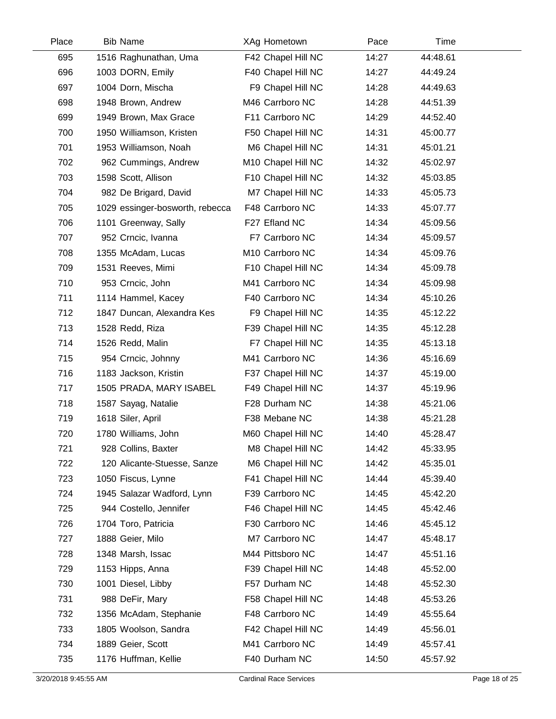| Place | <b>Bib Name</b>                 | XAg Hometown       | Pace  | Time     |  |
|-------|---------------------------------|--------------------|-------|----------|--|
| 695   | 1516 Raghunathan, Uma           | F42 Chapel Hill NC | 14:27 | 44:48.61 |  |
| 696   | 1003 DORN, Emily                | F40 Chapel Hill NC | 14:27 | 44:49.24 |  |
| 697   | 1004 Dorn, Mischa               | F9 Chapel Hill NC  | 14:28 | 44:49.63 |  |
| 698   | 1948 Brown, Andrew              | M46 Carrboro NC    | 14:28 | 44:51.39 |  |
| 699   | 1949 Brown, Max Grace           | F11 Carrboro NC    | 14:29 | 44:52.40 |  |
| 700   | 1950 Williamson, Kristen        | F50 Chapel Hill NC | 14:31 | 45:00.77 |  |
| 701   | 1953 Williamson, Noah           | M6 Chapel Hill NC  | 14:31 | 45:01.21 |  |
| 702   | 962 Cummings, Andrew            | M10 Chapel Hill NC | 14:32 | 45:02.97 |  |
| 703   | 1598 Scott, Allison             | F10 Chapel Hill NC | 14:32 | 45:03.85 |  |
| 704   | 982 De Brigard, David           | M7 Chapel Hill NC  | 14:33 | 45:05.73 |  |
| 705   | 1029 essinger-bosworth, rebecca | F48 Carrboro NC    | 14:33 | 45:07.77 |  |
| 706   | 1101 Greenway, Sally            | F27 Efland NC      | 14:34 | 45:09.56 |  |
| 707   | 952 Crncic, Ivanna              | F7 Carrboro NC     | 14:34 | 45:09.57 |  |
| 708   | 1355 McAdam, Lucas              | M10 Carrboro NC    | 14:34 | 45:09.76 |  |
| 709   | 1531 Reeves, Mimi               | F10 Chapel Hill NC | 14:34 | 45:09.78 |  |
| 710   | 953 Crncic, John                | M41 Carrboro NC    | 14:34 | 45:09.98 |  |
| 711   | 1114 Hammel, Kacey              | F40 Carrboro NC    | 14:34 | 45:10.26 |  |
| 712   | 1847 Duncan, Alexandra Kes      | F9 Chapel Hill NC  | 14:35 | 45:12.22 |  |
| 713   | 1528 Redd, Riza                 | F39 Chapel Hill NC | 14:35 | 45:12.28 |  |
| 714   | 1526 Redd, Malin                | F7 Chapel Hill NC  | 14:35 | 45:13.18 |  |
| 715   | 954 Crncic, Johnny              | M41 Carrboro NC    | 14:36 | 45:16.69 |  |
| 716   | 1183 Jackson, Kristin           | F37 Chapel Hill NC | 14:37 | 45:19.00 |  |
| 717   | 1505 PRADA, MARY ISABEL         | F49 Chapel Hill NC | 14:37 | 45:19.96 |  |
| 718   | 1587 Sayag, Natalie             | F28 Durham NC      | 14:38 | 45:21.06 |  |
| 719   | 1618 Siler, April               | F38 Mebane NC      | 14:38 | 45:21.28 |  |
| 720   | 1780 Williams, John             | M60 Chapel Hill NC | 14:40 | 45:28.47 |  |
| 721   | 928 Collins, Baxter             | M8 Chapel Hill NC  | 14:42 | 45:33.95 |  |
| 722   | 120 Alicante-Stuesse, Sanze     | M6 Chapel Hill NC  | 14:42 | 45:35.01 |  |
| 723   | 1050 Fiscus, Lynne              | F41 Chapel Hill NC | 14:44 | 45:39.40 |  |
| 724   | 1945 Salazar Wadford, Lynn      | F39 Carrboro NC    | 14:45 | 45:42.20 |  |
| 725   | 944 Costello, Jennifer          | F46 Chapel Hill NC | 14:45 | 45:42.46 |  |
| 726   | 1704 Toro, Patricia             | F30 Carrboro NC    | 14:46 | 45:45.12 |  |
| 727   | 1888 Geier, Milo                | M7 Carrboro NC     | 14:47 | 45:48.17 |  |
| 728   | 1348 Marsh, Issac               | M44 Pittsboro NC   | 14:47 | 45:51.16 |  |
| 729   | 1153 Hipps, Anna                | F39 Chapel Hill NC | 14:48 | 45:52.00 |  |
| 730   | 1001 Diesel, Libby              | F57 Durham NC      | 14:48 | 45:52.30 |  |
| 731   | 988 DeFir, Mary                 | F58 Chapel Hill NC | 14:48 | 45:53.26 |  |
| 732   | 1356 McAdam, Stephanie          | F48 Carrboro NC    | 14:49 | 45:55.64 |  |
| 733   | 1805 Woolson, Sandra            | F42 Chapel Hill NC | 14:49 | 45:56.01 |  |
| 734   | 1889 Geier, Scott               | M41 Carrboro NC    | 14:49 | 45:57.41 |  |
| 735   | 1176 Huffman, Kellie            | F40 Durham NC      | 14:50 | 45:57.92 |  |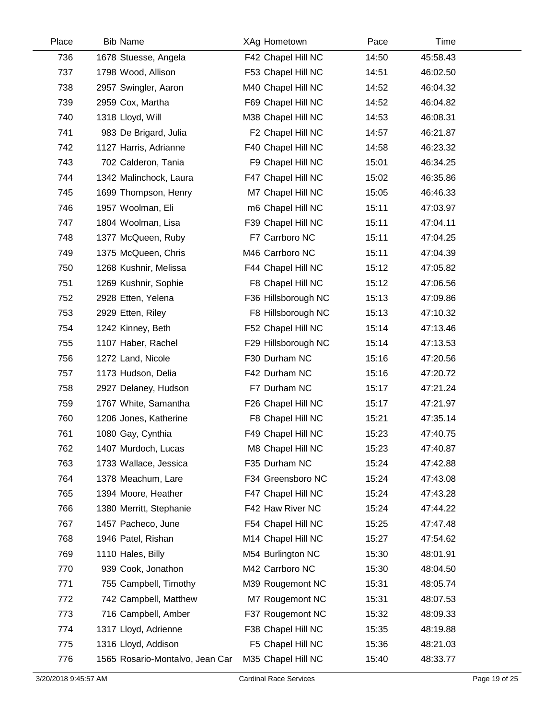| Place | <b>Bib Name</b>                 | XAg Hometown        | Pace  | Time     |  |
|-------|---------------------------------|---------------------|-------|----------|--|
| 736   | 1678 Stuesse, Angela            | F42 Chapel Hill NC  | 14:50 | 45:58.43 |  |
| 737   | 1798 Wood, Allison              | F53 Chapel Hill NC  | 14:51 | 46:02.50 |  |
| 738   | 2957 Swingler, Aaron            | M40 Chapel Hill NC  | 14:52 | 46:04.32 |  |
| 739   | 2959 Cox, Martha                | F69 Chapel Hill NC  | 14:52 | 46:04.82 |  |
| 740   | 1318 Lloyd, Will                | M38 Chapel Hill NC  | 14:53 | 46:08.31 |  |
| 741   | 983 De Brigard, Julia           | F2 Chapel Hill NC   | 14:57 | 46:21.87 |  |
| 742   | 1127 Harris, Adrianne           | F40 Chapel Hill NC  | 14:58 | 46:23.32 |  |
| 743   | 702 Calderon, Tania             | F9 Chapel Hill NC   | 15:01 | 46:34.25 |  |
| 744   | 1342 Malinchock, Laura          | F47 Chapel Hill NC  | 15:02 | 46:35.86 |  |
| 745   | 1699 Thompson, Henry            | M7 Chapel Hill NC   | 15:05 | 46:46.33 |  |
| 746   | 1957 Woolman, Eli               | m6 Chapel Hill NC   | 15:11 | 47:03.97 |  |
| 747   | 1804 Woolman, Lisa              | F39 Chapel Hill NC  | 15:11 | 47:04.11 |  |
| 748   | 1377 McQueen, Ruby              | F7 Carrboro NC      | 15:11 | 47:04.25 |  |
| 749   | 1375 McQueen, Chris             | M46 Carrboro NC     | 15:11 | 47:04.39 |  |
| 750   | 1268 Kushnir, Melissa           | F44 Chapel Hill NC  | 15:12 | 47:05.82 |  |
| 751   | 1269 Kushnir, Sophie            | F8 Chapel Hill NC   | 15:12 | 47:06.56 |  |
| 752   | 2928 Etten, Yelena              | F36 Hillsborough NC | 15:13 | 47:09.86 |  |
| 753   | 2929 Etten, Riley               | F8 Hillsborough NC  | 15:13 | 47:10.32 |  |
| 754   | 1242 Kinney, Beth               | F52 Chapel Hill NC  | 15:14 | 47:13.46 |  |
| 755   | 1107 Haber, Rachel              | F29 Hillsborough NC | 15:14 | 47:13.53 |  |
| 756   | 1272 Land, Nicole               | F30 Durham NC       | 15:16 | 47:20.56 |  |
| 757   | 1173 Hudson, Delia              | F42 Durham NC       | 15:16 | 47:20.72 |  |
| 758   | 2927 Delaney, Hudson            | F7 Durham NC        | 15:17 | 47:21.24 |  |
| 759   | 1767 White, Samantha            | F26 Chapel Hill NC  | 15:17 | 47:21.97 |  |
| 760   | 1206 Jones, Katherine           | F8 Chapel Hill NC   | 15:21 | 47:35.14 |  |
| 761   | 1080 Gay, Cynthia               | F49 Chapel Hill NC  | 15:23 | 47:40.75 |  |
| 762   | 1407 Murdoch, Lucas             | M8 Chapel Hill NC   | 15:23 | 47:40.87 |  |
| 763   | 1733 Wallace, Jessica           | F35 Durham NC       | 15:24 | 47:42.88 |  |
| 764   | 1378 Meachum, Lare              | F34 Greensboro NC   | 15:24 | 47:43.08 |  |
| 765   | 1394 Moore, Heather             | F47 Chapel Hill NC  | 15:24 | 47:43.28 |  |
| 766   | 1380 Merritt, Stephanie         | F42 Haw River NC    | 15:24 | 47:44.22 |  |
| 767   | 1457 Pacheco, June              | F54 Chapel Hill NC  | 15:25 | 47:47.48 |  |
| 768   | 1946 Patel, Rishan              | M14 Chapel Hill NC  | 15:27 | 47:54.62 |  |
| 769   | 1110 Hales, Billy               | M54 Burlington NC   | 15:30 | 48:01.91 |  |
| 770   | 939 Cook, Jonathon              | M42 Carrboro NC     | 15:30 | 48:04.50 |  |
| 771   | 755 Campbell, Timothy           | M39 Rougemont NC    | 15:31 | 48:05.74 |  |
| 772   | 742 Campbell, Matthew           | M7 Rougemont NC     | 15:31 | 48:07.53 |  |
| 773   | 716 Campbell, Amber             | F37 Rougemont NC    | 15:32 | 48:09.33 |  |
| 774   | 1317 Lloyd, Adrienne            | F38 Chapel Hill NC  | 15:35 | 48:19.88 |  |
| 775   | 1316 Lloyd, Addison             | F5 Chapel Hill NC   | 15:36 | 48:21.03 |  |
| 776   | 1565 Rosario-Montalvo, Jean Car | M35 Chapel Hill NC  | 15:40 | 48:33.77 |  |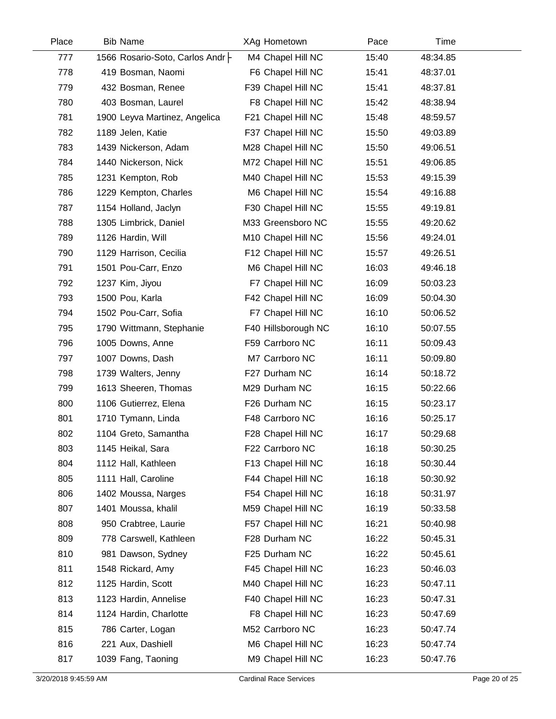| Place | <b>Bib Name</b>                   | XAg Hometown        | Pace  | Time     |  |
|-------|-----------------------------------|---------------------|-------|----------|--|
| 777   | 1566 Rosario-Soto, Carlos Andr  - | M4 Chapel Hill NC   | 15:40 | 48:34.85 |  |
| 778   | 419 Bosman, Naomi                 | F6 Chapel Hill NC   | 15:41 | 48:37.01 |  |
| 779   | 432 Bosman, Renee                 | F39 Chapel Hill NC  | 15:41 | 48:37.81 |  |
| 780   | 403 Bosman, Laurel                | F8 Chapel Hill NC   | 15:42 | 48:38.94 |  |
| 781   | 1900 Leyva Martinez, Angelica     | F21 Chapel Hill NC  | 15:48 | 48:59.57 |  |
| 782   | 1189 Jelen, Katie                 | F37 Chapel Hill NC  | 15:50 | 49:03.89 |  |
| 783   | 1439 Nickerson, Adam              | M28 Chapel Hill NC  | 15:50 | 49:06.51 |  |
| 784   | 1440 Nickerson, Nick              | M72 Chapel Hill NC  | 15:51 | 49:06.85 |  |
| 785   | 1231 Kempton, Rob                 | M40 Chapel Hill NC  | 15:53 | 49:15.39 |  |
| 786   | 1229 Kempton, Charles             | M6 Chapel Hill NC   | 15:54 | 49:16.88 |  |
| 787   | 1154 Holland, Jaclyn              | F30 Chapel Hill NC  | 15:55 | 49:19.81 |  |
| 788   | 1305 Limbrick, Daniel             | M33 Greensboro NC   | 15:55 | 49:20.62 |  |
| 789   | 1126 Hardin, Will                 | M10 Chapel Hill NC  | 15:56 | 49:24.01 |  |
| 790   | 1129 Harrison, Cecilia            | F12 Chapel Hill NC  | 15:57 | 49:26.51 |  |
| 791   | 1501 Pou-Carr, Enzo               | M6 Chapel Hill NC   | 16:03 | 49:46.18 |  |
| 792   | 1237 Kim, Jiyou                   | F7 Chapel Hill NC   | 16:09 | 50:03.23 |  |
| 793   | 1500 Pou, Karla                   | F42 Chapel Hill NC  | 16:09 | 50:04.30 |  |
| 794   | 1502 Pou-Carr, Sofia              | F7 Chapel Hill NC   | 16:10 | 50:06.52 |  |
| 795   | 1790 Wittmann, Stephanie          | F40 Hillsborough NC | 16:10 | 50:07.55 |  |
| 796   | 1005 Downs, Anne                  | F59 Carrboro NC     | 16:11 | 50:09.43 |  |
| 797   | 1007 Downs, Dash                  | M7 Carrboro NC      | 16:11 | 50:09.80 |  |
| 798   | 1739 Walters, Jenny               | F27 Durham NC       | 16:14 | 50:18.72 |  |
| 799   | 1613 Sheeren, Thomas              | M29 Durham NC       | 16:15 | 50:22.66 |  |
| 800   | 1106 Gutierrez, Elena             | F26 Durham NC       | 16:15 | 50:23.17 |  |
| 801   | 1710 Tymann, Linda                | F48 Carrboro NC     | 16:16 | 50:25.17 |  |
| 802   | 1104 Greto, Samantha              | F28 Chapel Hill NC  | 16:17 | 50:29.68 |  |
| 803   | 1145 Heikal, Sara                 | F22 Carrboro NC     | 16:18 | 50:30.25 |  |
| 804   | 1112 Hall, Kathleen               | F13 Chapel Hill NC  | 16:18 | 50:30.44 |  |
| 805   | 1111 Hall, Caroline               | F44 Chapel Hill NC  | 16:18 | 50:30.92 |  |
| 806   | 1402 Moussa, Narges               | F54 Chapel Hill NC  | 16:18 | 50:31.97 |  |
| 807   | 1401 Moussa, khalil               | M59 Chapel Hill NC  | 16:19 | 50:33.58 |  |
| 808   | 950 Crabtree, Laurie              | F57 Chapel Hill NC  | 16:21 | 50:40.98 |  |
| 809   | 778 Carswell, Kathleen            | F28 Durham NC       | 16:22 | 50:45.31 |  |
| 810   | 981 Dawson, Sydney                | F25 Durham NC       | 16:22 | 50:45.61 |  |
| 811   | 1548 Rickard, Amy                 | F45 Chapel Hill NC  | 16:23 | 50:46.03 |  |
| 812   | 1125 Hardin, Scott                | M40 Chapel Hill NC  | 16:23 | 50:47.11 |  |
| 813   | 1123 Hardin, Annelise             | F40 Chapel Hill NC  | 16:23 | 50:47.31 |  |
| 814   | 1124 Hardin, Charlotte            | F8 Chapel Hill NC   | 16:23 | 50:47.69 |  |
| 815   | 786 Carter, Logan                 | M52 Carrboro NC     | 16:23 | 50:47.74 |  |
| 816   | 221 Aux, Dashiell                 | M6 Chapel Hill NC   | 16:23 | 50:47.74 |  |
| 817   | 1039 Fang, Taoning                | M9 Chapel Hill NC   | 16:23 | 50:47.76 |  |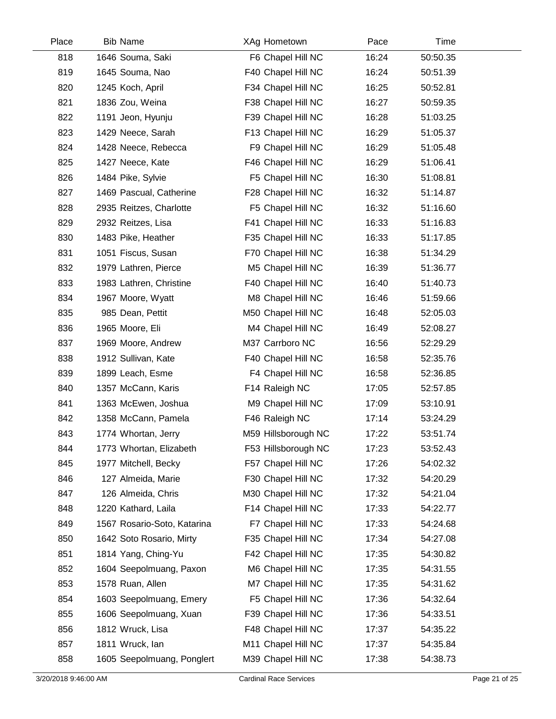| Place | <b>Bib Name</b> |                             | XAg Hometown        | Pace  | Time     |
|-------|-----------------|-----------------------------|---------------------|-------|----------|
| 818   |                 | 1646 Souma, Saki            | F6 Chapel Hill NC   | 16:24 | 50:50.35 |
| 819   |                 | 1645 Souma, Nao             | F40 Chapel Hill NC  | 16:24 | 50:51.39 |
| 820   |                 | 1245 Koch, April            | F34 Chapel Hill NC  | 16:25 | 50:52.81 |
| 821   |                 | 1836 Zou, Weina             | F38 Chapel Hill NC  | 16:27 | 50:59.35 |
| 822   |                 | 1191 Jeon, Hyunju           | F39 Chapel Hill NC  | 16:28 | 51:03.25 |
| 823   |                 | 1429 Neece, Sarah           | F13 Chapel Hill NC  | 16:29 | 51:05.37 |
| 824   |                 | 1428 Neece, Rebecca         | F9 Chapel Hill NC   | 16:29 | 51:05.48 |
| 825   |                 | 1427 Neece, Kate            | F46 Chapel Hill NC  | 16:29 | 51:06.41 |
| 826   |                 | 1484 Pike, Sylvie           | F5 Chapel Hill NC   | 16:30 | 51:08.81 |
| 827   |                 | 1469 Pascual, Catherine     | F28 Chapel Hill NC  | 16:32 | 51:14.87 |
| 828   |                 | 2935 Reitzes, Charlotte     | F5 Chapel Hill NC   | 16:32 | 51:16.60 |
| 829   |                 | 2932 Reitzes, Lisa          | F41 Chapel Hill NC  | 16:33 | 51:16.83 |
| 830   |                 | 1483 Pike, Heather          | F35 Chapel Hill NC  | 16:33 | 51:17.85 |
| 831   |                 | 1051 Fiscus, Susan          | F70 Chapel Hill NC  | 16:38 | 51:34.29 |
| 832   |                 | 1979 Lathren, Pierce        | M5 Chapel Hill NC   | 16:39 | 51:36.77 |
| 833   |                 | 1983 Lathren, Christine     | F40 Chapel Hill NC  | 16:40 | 51:40.73 |
| 834   |                 | 1967 Moore, Wyatt           | M8 Chapel Hill NC   | 16:46 | 51:59.66 |
| 835   |                 | 985 Dean, Pettit            | M50 Chapel Hill NC  | 16:48 | 52:05.03 |
| 836   |                 | 1965 Moore, Eli             | M4 Chapel Hill NC   | 16:49 | 52:08.27 |
| 837   |                 | 1969 Moore, Andrew          | M37 Carrboro NC     | 16:56 | 52:29.29 |
| 838   |                 | 1912 Sullivan, Kate         | F40 Chapel Hill NC  | 16:58 | 52:35.76 |
| 839   |                 | 1899 Leach, Esme            | F4 Chapel Hill NC   | 16:58 | 52:36.85 |
| 840   |                 | 1357 McCann, Karis          | F14 Raleigh NC      | 17:05 | 52:57.85 |
| 841   |                 | 1363 McEwen, Joshua         | M9 Chapel Hill NC   | 17:09 | 53:10.91 |
| 842   |                 | 1358 McCann, Pamela         | F46 Raleigh NC      | 17:14 | 53:24.29 |
| 843   |                 | 1774 Whortan, Jerry         | M59 Hillsborough NC | 17:22 | 53:51.74 |
| 844   |                 | 1773 Whortan, Elizabeth     | F53 Hillsborough NC | 17:23 | 53:52.43 |
| 845   |                 | 1977 Mitchell, Becky        | F57 Chapel Hill NC  | 17:26 | 54:02.32 |
| 846   |                 | 127 Almeida, Marie          | F30 Chapel Hill NC  | 17:32 | 54:20.29 |
| 847   |                 | 126 Almeida, Chris          | M30 Chapel Hill NC  | 17:32 | 54:21.04 |
| 848   |                 | 1220 Kathard, Laila         | F14 Chapel Hill NC  | 17:33 | 54:22.77 |
| 849   |                 | 1567 Rosario-Soto, Katarina | F7 Chapel Hill NC   | 17:33 | 54:24.68 |
| 850   |                 | 1642 Soto Rosario, Mirty    | F35 Chapel Hill NC  | 17:34 | 54:27.08 |
| 851   |                 | 1814 Yang, Ching-Yu         | F42 Chapel Hill NC  | 17:35 | 54:30.82 |
| 852   |                 | 1604 Seepolmuang, Paxon     | M6 Chapel Hill NC   | 17:35 | 54:31.55 |
| 853   |                 | 1578 Ruan, Allen            | M7 Chapel Hill NC   | 17:35 | 54:31.62 |
| 854   |                 | 1603 Seepolmuang, Emery     | F5 Chapel Hill NC   | 17:36 | 54:32.64 |
| 855   |                 | 1606 Seepolmuang, Xuan      | F39 Chapel Hill NC  | 17:36 | 54:33.51 |
| 856   |                 | 1812 Wruck, Lisa            | F48 Chapel Hill NC  | 17:37 | 54:35.22 |
| 857   |                 | 1811 Wruck, lan             | M11 Chapel Hill NC  | 17:37 | 54:35.84 |
| 858   |                 | 1605 Seepolmuang, Ponglert  | M39 Chapel Hill NC  | 17:38 | 54:38.73 |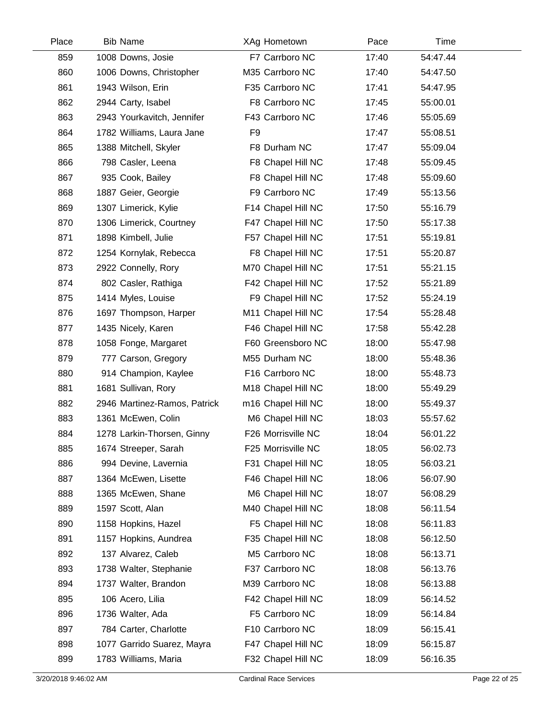| Place | <b>Bib Name</b>              | XAg Hometown       | Pace  | Time     |  |
|-------|------------------------------|--------------------|-------|----------|--|
| 859   | 1008 Downs, Josie            | F7 Carrboro NC     | 17:40 | 54:47.44 |  |
| 860   | 1006 Downs, Christopher      | M35 Carrboro NC    | 17:40 | 54:47.50 |  |
| 861   | 1943 Wilson, Erin            | F35 Carrboro NC    | 17:41 | 54:47.95 |  |
| 862   | 2944 Carty, Isabel           | F8 Carrboro NC     | 17:45 | 55:00.01 |  |
| 863   | 2943 Yourkavitch, Jennifer   | F43 Carrboro NC    | 17:46 | 55:05.69 |  |
| 864   | 1782 Williams, Laura Jane    | F <sub>9</sub>     | 17:47 | 55:08.51 |  |
| 865   | 1388 Mitchell, Skyler        | F8 Durham NC       | 17:47 | 55:09.04 |  |
| 866   | 798 Casler, Leena            | F8 Chapel Hill NC  | 17:48 | 55:09.45 |  |
| 867   | 935 Cook, Bailey             | F8 Chapel Hill NC  | 17:48 | 55:09.60 |  |
| 868   | 1887 Geier, Georgie          | F9 Carrboro NC     | 17:49 | 55:13.56 |  |
| 869   | 1307 Limerick, Kylie         | F14 Chapel Hill NC | 17:50 | 55:16.79 |  |
| 870   | 1306 Limerick, Courtney      | F47 Chapel Hill NC | 17:50 | 55:17.38 |  |
| 871   | 1898 Kimbell, Julie          | F57 Chapel Hill NC | 17:51 | 55:19.81 |  |
| 872   | 1254 Kornylak, Rebecca       | F8 Chapel Hill NC  | 17:51 | 55:20.87 |  |
| 873   | 2922 Connelly, Rory          | M70 Chapel Hill NC | 17:51 | 55:21.15 |  |
| 874   | 802 Casler, Rathiga          | F42 Chapel Hill NC | 17:52 | 55:21.89 |  |
| 875   | 1414 Myles, Louise           | F9 Chapel Hill NC  | 17:52 | 55:24.19 |  |
| 876   | 1697 Thompson, Harper        | M11 Chapel Hill NC | 17:54 | 55:28.48 |  |
| 877   | 1435 Nicely, Karen           | F46 Chapel Hill NC | 17:58 | 55:42.28 |  |
| 878   | 1058 Fonge, Margaret         | F60 Greensboro NC  | 18:00 | 55:47.98 |  |
| 879   | 777 Carson, Gregory          | M55 Durham NC      | 18:00 | 55:48.36 |  |
| 880   | 914 Champion, Kaylee         | F16 Carrboro NC    | 18:00 | 55:48.73 |  |
| 881   | 1681 Sullivan, Rory          | M18 Chapel Hill NC | 18:00 | 55:49.29 |  |
| 882   | 2946 Martinez-Ramos, Patrick | m16 Chapel Hill NC | 18:00 | 55:49.37 |  |
| 883   | 1361 McEwen, Colin           | M6 Chapel Hill NC  | 18:03 | 55:57.62 |  |
| 884   | 1278 Larkin-Thorsen, Ginny   | F26 Morrisville NC | 18:04 | 56:01.22 |  |
| 885   | 1674 Streeper, Sarah         | F25 Morrisville NC | 18:05 | 56:02.73 |  |
| 886   | 994 Devine, Lavernia         | F31 Chapel Hill NC | 18:05 | 56:03.21 |  |
| 887   | 1364 McEwen, Lisette         | F46 Chapel Hill NC | 18:06 | 56:07.90 |  |
| 888   | 1365 McEwen, Shane           | M6 Chapel Hill NC  | 18:07 | 56:08.29 |  |
| 889   | 1597 Scott, Alan             | M40 Chapel Hill NC | 18:08 | 56:11.54 |  |
| 890   | 1158 Hopkins, Hazel          | F5 Chapel Hill NC  | 18:08 | 56:11.83 |  |
| 891   | 1157 Hopkins, Aundrea        | F35 Chapel Hill NC | 18:08 | 56:12.50 |  |
| 892   | 137 Alvarez, Caleb           | M5 Carrboro NC     | 18:08 | 56:13.71 |  |
| 893   | 1738 Walter, Stephanie       | F37 Carrboro NC    | 18:08 | 56:13.76 |  |
| 894   | 1737 Walter, Brandon         | M39 Carrboro NC    | 18:08 | 56:13.88 |  |
| 895   | 106 Acero, Lilia             | F42 Chapel Hill NC | 18:09 | 56:14.52 |  |
| 896   | 1736 Walter, Ada             | F5 Carrboro NC     | 18:09 | 56:14.84 |  |
| 897   | 784 Carter, Charlotte        | F10 Carrboro NC    | 18:09 | 56:15.41 |  |
| 898   | 1077 Garrido Suarez, Mayra   | F47 Chapel Hill NC | 18:09 | 56:15.87 |  |
| 899   | 1783 Williams, Maria         | F32 Chapel Hill NC | 18:09 | 56:16.35 |  |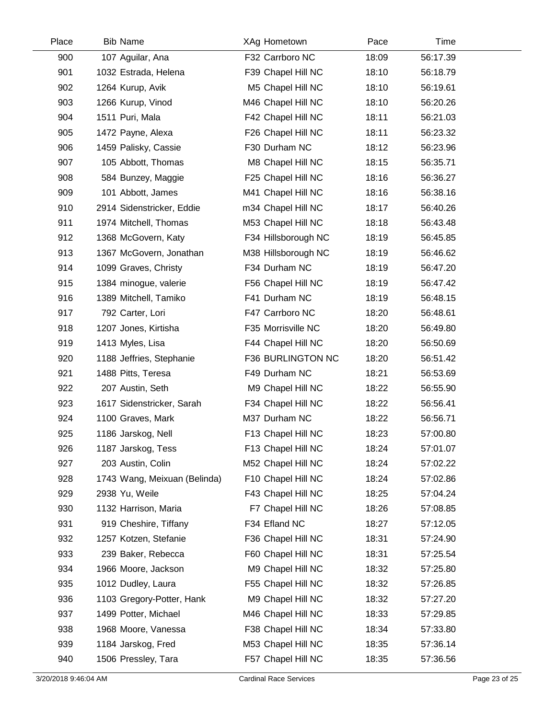| Place | <b>Bib Name</b>              | XAg Hometown        | Pace  | Time     |  |
|-------|------------------------------|---------------------|-------|----------|--|
| 900   | 107 Aguilar, Ana             | F32 Carrboro NC     | 18:09 | 56:17.39 |  |
| 901   | 1032 Estrada, Helena         | F39 Chapel Hill NC  | 18:10 | 56:18.79 |  |
| 902   | 1264 Kurup, Avik             | M5 Chapel Hill NC   | 18:10 | 56:19.61 |  |
| 903   | 1266 Kurup, Vinod            | M46 Chapel Hill NC  | 18:10 | 56:20.26 |  |
| 904   | 1511 Puri, Mala              | F42 Chapel Hill NC  | 18:11 | 56:21.03 |  |
| 905   | 1472 Payne, Alexa            | F26 Chapel Hill NC  | 18:11 | 56:23.32 |  |
| 906   | 1459 Palisky, Cassie         | F30 Durham NC       | 18:12 | 56:23.96 |  |
| 907   | 105 Abbott, Thomas           | M8 Chapel Hill NC   | 18:15 | 56:35.71 |  |
| 908   | 584 Bunzey, Maggie           | F25 Chapel Hill NC  | 18:16 | 56:36.27 |  |
| 909   | 101 Abbott, James            | M41 Chapel Hill NC  | 18:16 | 56:38.16 |  |
| 910   | 2914 Sidenstricker, Eddie    | m34 Chapel Hill NC  | 18:17 | 56:40.26 |  |
| 911   | 1974 Mitchell, Thomas        | M53 Chapel Hill NC  | 18:18 | 56:43.48 |  |
| 912   | 1368 McGovern, Katy          | F34 Hillsborough NC | 18:19 | 56:45.85 |  |
| 913   | 1367 McGovern, Jonathan      | M38 Hillsborough NC | 18:19 | 56:46.62 |  |
| 914   | 1099 Graves, Christy         | F34 Durham NC       | 18:19 | 56:47.20 |  |
| 915   | 1384 minogue, valerie        | F56 Chapel Hill NC  | 18:19 | 56:47.42 |  |
| 916   | 1389 Mitchell, Tamiko        | F41 Durham NC       | 18:19 | 56:48.15 |  |
| 917   | 792 Carter, Lori             | F47 Carrboro NC     | 18:20 | 56:48.61 |  |
| 918   | 1207 Jones, Kirtisha         | F35 Morrisville NC  | 18:20 | 56:49.80 |  |
| 919   | 1413 Myles, Lisa             | F44 Chapel Hill NC  | 18:20 | 56:50.69 |  |
| 920   | 1188 Jeffries, Stephanie     | F36 BURLINGTON NC   | 18:20 | 56:51.42 |  |
| 921   | 1488 Pitts, Teresa           | F49 Durham NC       | 18:21 | 56:53.69 |  |
| 922   | 207 Austin, Seth             | M9 Chapel Hill NC   | 18:22 | 56:55.90 |  |
| 923   | 1617 Sidenstricker, Sarah    | F34 Chapel Hill NC  | 18:22 | 56:56.41 |  |
| 924   | 1100 Graves, Mark            | M37 Durham NC       | 18:22 | 56:56.71 |  |
| 925   | 1186 Jarskog, Nell           | F13 Chapel Hill NC  | 18:23 | 57:00.80 |  |
| 926   | 1187 Jarskog, Tess           | F13 Chapel Hill NC  | 18:24 | 57:01.07 |  |
| 927   | 203 Austin, Colin            | M52 Chapel Hill NC  | 18:24 | 57:02.22 |  |
| 928   | 1743 Wang, Meixuan (Belinda) | F10 Chapel Hill NC  | 18:24 | 57:02.86 |  |
| 929   | 2938 Yu, Weile               | F43 Chapel Hill NC  | 18:25 | 57:04.24 |  |
| 930   | 1132 Harrison, Maria         | F7 Chapel Hill NC   | 18:26 | 57:08.85 |  |
| 931   | 919 Cheshire, Tiffany        | F34 Efland NC       | 18:27 | 57:12.05 |  |
| 932   | 1257 Kotzen, Stefanie        | F36 Chapel Hill NC  | 18:31 | 57:24.90 |  |
| 933   | 239 Baker, Rebecca           | F60 Chapel Hill NC  | 18:31 | 57:25.54 |  |
| 934   | 1966 Moore, Jackson          | M9 Chapel Hill NC   | 18:32 | 57:25.80 |  |
| 935   | 1012 Dudley, Laura           | F55 Chapel Hill NC  | 18:32 | 57:26.85 |  |
| 936   | 1103 Gregory-Potter, Hank    | M9 Chapel Hill NC   | 18:32 | 57:27.20 |  |
| 937   | 1499 Potter, Michael         | M46 Chapel Hill NC  | 18:33 | 57:29.85 |  |
| 938   | 1968 Moore, Vanessa          | F38 Chapel Hill NC  | 18:34 | 57:33.80 |  |
| 939   | 1184 Jarskog, Fred           | M53 Chapel Hill NC  | 18:35 | 57:36.14 |  |
| 940   | 1506 Pressley, Tara          | F57 Chapel Hill NC  | 18:35 | 57:36.56 |  |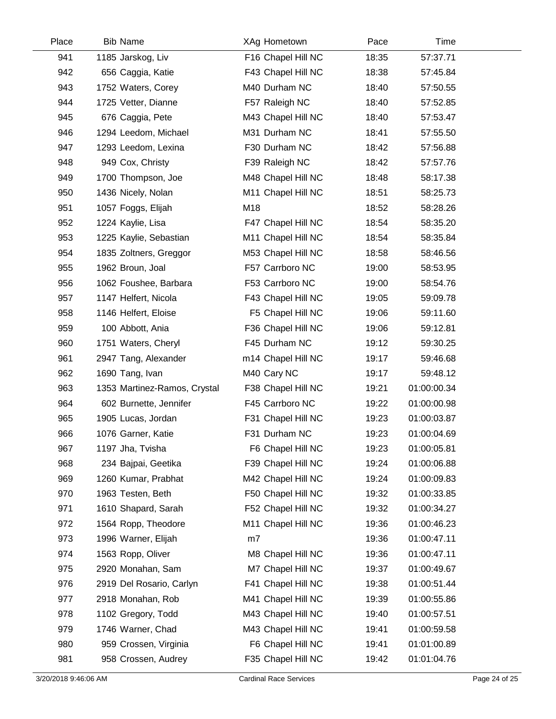| Place | <b>Bib Name</b>              | XAg Hometown       | Pace  | Time        |  |
|-------|------------------------------|--------------------|-------|-------------|--|
| 941   | 1185 Jarskog, Liv            | F16 Chapel Hill NC | 18:35 | 57:37.71    |  |
| 942   | 656 Caggia, Katie            | F43 Chapel Hill NC | 18:38 | 57:45.84    |  |
| 943   | 1752 Waters, Corey           | M40 Durham NC      | 18:40 | 57:50.55    |  |
| 944   | 1725 Vetter, Dianne          | F57 Raleigh NC     | 18:40 | 57:52.85    |  |
| 945   | 676 Caggia, Pete             | M43 Chapel Hill NC | 18:40 | 57:53.47    |  |
| 946   | 1294 Leedom, Michael         | M31 Durham NC      | 18:41 | 57:55.50    |  |
| 947   | 1293 Leedom, Lexina          | F30 Durham NC      | 18:42 | 57:56.88    |  |
| 948   | 949 Cox, Christy             | F39 Raleigh NC     | 18:42 | 57:57.76    |  |
| 949   | 1700 Thompson, Joe           | M48 Chapel Hill NC | 18:48 | 58:17.38    |  |
| 950   | 1436 Nicely, Nolan           | M11 Chapel Hill NC | 18:51 | 58:25.73    |  |
| 951   | 1057 Foggs, Elijah           | M18                | 18:52 | 58:28.26    |  |
| 952   | 1224 Kaylie, Lisa            | F47 Chapel Hill NC | 18:54 | 58:35.20    |  |
| 953   | 1225 Kaylie, Sebastian       | M11 Chapel Hill NC | 18:54 | 58:35.84    |  |
| 954   | 1835 Zoltners, Greggor       | M53 Chapel Hill NC | 18:58 | 58:46.56    |  |
| 955   | 1962 Broun, Joal             | F57 Carrboro NC    | 19:00 | 58:53.95    |  |
| 956   | 1062 Foushee, Barbara        | F53 Carrboro NC    | 19:00 | 58:54.76    |  |
| 957   | 1147 Helfert, Nicola         | F43 Chapel Hill NC | 19:05 | 59:09.78    |  |
| 958   | 1146 Helfert, Eloise         | F5 Chapel Hill NC  | 19:06 | 59:11.60    |  |
| 959   | 100 Abbott, Ania             | F36 Chapel Hill NC | 19:06 | 59:12.81    |  |
| 960   | 1751 Waters, Cheryl          | F45 Durham NC      | 19:12 | 59:30.25    |  |
| 961   | 2947 Tang, Alexander         | m14 Chapel Hill NC | 19:17 | 59:46.68    |  |
| 962   | 1690 Tang, Ivan              | M40 Cary NC        | 19:17 | 59:48.12    |  |
| 963   | 1353 Martinez-Ramos, Crystal | F38 Chapel Hill NC | 19:21 | 01:00:00.34 |  |
| 964   | 602 Burnette, Jennifer       | F45 Carrboro NC    | 19:22 | 01:00:00.98 |  |
| 965   | 1905 Lucas, Jordan           | F31 Chapel Hill NC | 19:23 | 01:00:03.87 |  |
| 966   | 1076 Garner, Katie           | F31 Durham NC      | 19:23 | 01:00:04.69 |  |
| 967   | 1197 Jha, Tvisha             | F6 Chapel Hill NC  | 19:23 | 01:00:05.81 |  |
| 968   | 234 Bajpai, Geetika          | F39 Chapel Hill NC | 19:24 | 01:00:06.88 |  |
| 969   | 1260 Kumar, Prabhat          | M42 Chapel Hill NC | 19:24 | 01:00:09.83 |  |
| 970   | 1963 Testen, Beth            | F50 Chapel Hill NC | 19:32 | 01:00:33.85 |  |
| 971   | 1610 Shapard, Sarah          | F52 Chapel Hill NC | 19:32 | 01:00:34.27 |  |
| 972   | 1564 Ropp, Theodore          | M11 Chapel Hill NC | 19:36 | 01:00:46.23 |  |
| 973   | 1996 Warner, Elijah          | m7                 | 19:36 | 01:00:47.11 |  |
| 974   | 1563 Ropp, Oliver            | M8 Chapel Hill NC  | 19:36 | 01:00:47.11 |  |
| 975   | 2920 Monahan, Sam            | M7 Chapel Hill NC  | 19:37 | 01:00:49.67 |  |
| 976   | 2919 Del Rosario, Carlyn     | F41 Chapel Hill NC | 19:38 | 01:00:51.44 |  |
| 977   | 2918 Monahan, Rob            | M41 Chapel Hill NC | 19:39 | 01:00:55.86 |  |
| 978   | 1102 Gregory, Todd           | M43 Chapel Hill NC | 19:40 | 01:00:57.51 |  |
| 979   | 1746 Warner, Chad            | M43 Chapel Hill NC | 19:41 | 01:00:59.58 |  |
| 980   | 959 Crossen, Virginia        | F6 Chapel Hill NC  | 19:41 | 01:01:00.89 |  |
| 981   | 958 Crossen, Audrey          | F35 Chapel Hill NC | 19:42 | 01:01:04.76 |  |